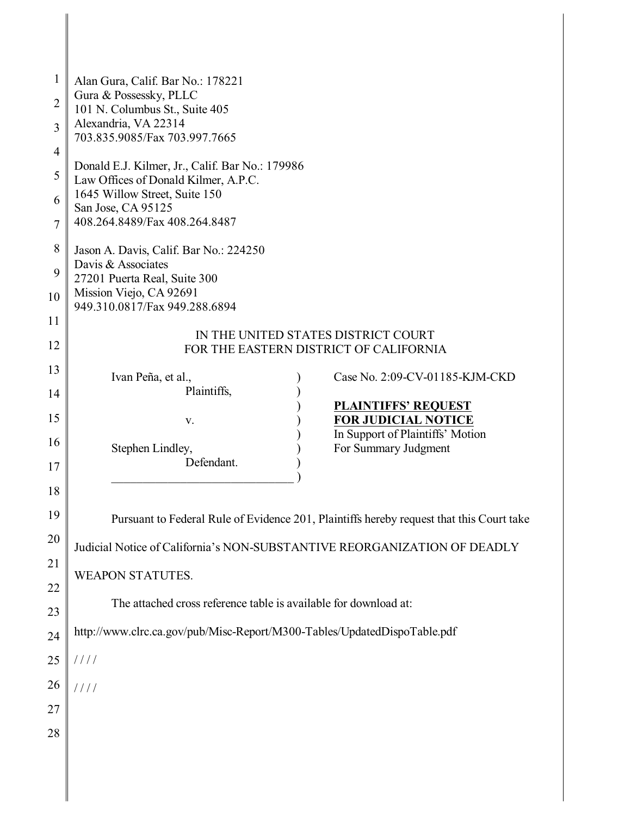| $\mathbf{1}$   | Alan Gura, Calif. Bar No.: 178221                                                        |
|----------------|------------------------------------------------------------------------------------------|
| $\overline{2}$ | Gura & Possessky, PLLC                                                                   |
|                | 101 N. Columbus St., Suite 405<br>Alexandria, VA 22314                                   |
| $\overline{3}$ | 703.835.9085/Fax 703.997.7665                                                            |
| $\overline{4}$ | Donald E.J. Kilmer, Jr., Calif. Bar No.: 179986                                          |
| 5              | Law Offices of Donald Kilmer, A.P.C.                                                     |
| 6              | 1645 Willow Street, Suite 150<br>San Jose, CA 95125                                      |
| $\tau$         | 408.264.8489/Fax 408.264.8487                                                            |
| 8              | Jason A. Davis, Calif. Bar No.: 224250                                                   |
| 9              | Davis & Associates<br>27201 Puerta Real, Suite 300                                       |
| 10             | Mission Viejo, CA 92691<br>949.310.0817/Fax 949.288.6894                                 |
| 11             |                                                                                          |
| 12             | IN THE UNITED STATES DISTRICT COURT<br>FOR THE EASTERN DISTRICT OF CALIFORNIA            |
| 13             |                                                                                          |
| 14             | Ivan Peña, et al.,<br>Case No. 2:09-CV-01185-KJM-CKD<br>Plaintiffs,                      |
|                | <b>PLAINTIFFS' REQUEST</b>                                                               |
| 15             | <b>FOR JUDICIAL NOTICE</b><br>V.<br>In Support of Plaintiffs' Motion                     |
| 16             | For Summary Judgment<br>Stephen Lindley,                                                 |
| 17             | Defendant.                                                                               |
| 18             |                                                                                          |
| 19             | Pursuant to Federal Rule of Evidence 201, Plaintiffs hereby request that this Court take |
| 20             | Judicial Notice of California's NON-SUBSTANTIVE REORGANIZATION OF DEADLY                 |
| 21             | <b>WEAPON STATUTES.</b>                                                                  |
| 22             |                                                                                          |
| 23             | The attached cross reference table is available for download at:                         |
| 24             | http://www.clrc.ca.gov/pub/Misc-Report/M300-Tables/UpdatedDispoTable.pdf                 |
| 25             | 1111                                                                                     |
| 26             | 1111                                                                                     |
| 27             |                                                                                          |
| 28             |                                                                                          |
|                |                                                                                          |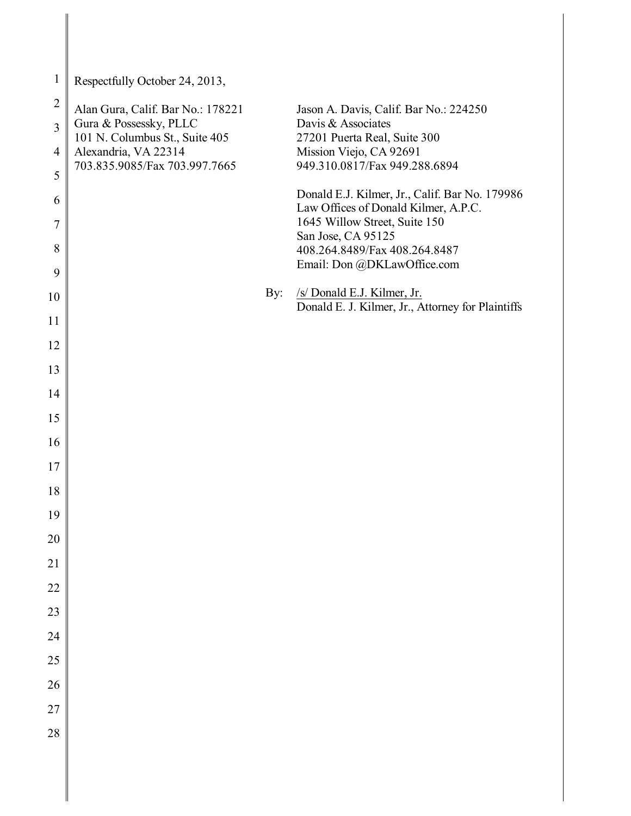| $\mathbf{1}$        | Respectfully October 24, 2013,                              |     |                                                                                  |
|---------------------|-------------------------------------------------------------|-----|----------------------------------------------------------------------------------|
| $\overline{2}$      | Alan Gura, Calif. Bar No.: 178221<br>Gura & Possessky, PLLC |     | Jason A. Davis, Calif. Bar No.: 224250<br>Davis & Associates                     |
| $\overline{3}$      | 101 N. Columbus St., Suite 405                              |     | 27201 Puerta Real, Suite 300                                                     |
| $\overline{4}$<br>5 | Alexandria, VA 22314<br>703.835.9085/Fax 703.997.7665       |     | Mission Viejo, CA 92691<br>949.310.0817/Fax 949.288.6894                         |
| 6                   |                                                             |     | Donald E.J. Kilmer, Jr., Calif. Bar No. 179986                                   |
| $\tau$              |                                                             |     | Law Offices of Donald Kilmer, A.P.C.<br>1645 Willow Street, Suite 150            |
| 8                   |                                                             |     | San Jose, CA 95125<br>408.264.8489/Fax 408.264.8487                              |
| 9                   |                                                             |     | Email: Don @DKLawOffice.com                                                      |
| 10                  |                                                             | By: | /s/ Donald E.J. Kilmer, Jr.<br>Donald E. J. Kilmer, Jr., Attorney for Plaintiffs |
| 11                  |                                                             |     |                                                                                  |
| 12                  |                                                             |     |                                                                                  |
| 13                  |                                                             |     |                                                                                  |
| 14                  |                                                             |     |                                                                                  |
| 15                  |                                                             |     |                                                                                  |
| 16<br>17            |                                                             |     |                                                                                  |
| 18                  |                                                             |     |                                                                                  |
| 19                  |                                                             |     |                                                                                  |
| 20                  |                                                             |     |                                                                                  |
| $21\,$              |                                                             |     |                                                                                  |
| 22                  |                                                             |     |                                                                                  |
| 23                  |                                                             |     |                                                                                  |
| 24                  |                                                             |     |                                                                                  |
| 25                  |                                                             |     |                                                                                  |
| 26                  |                                                             |     |                                                                                  |
| 27<br>28            |                                                             |     |                                                                                  |
|                     |                                                             |     |                                                                                  |
|                     |                                                             |     |                                                                                  |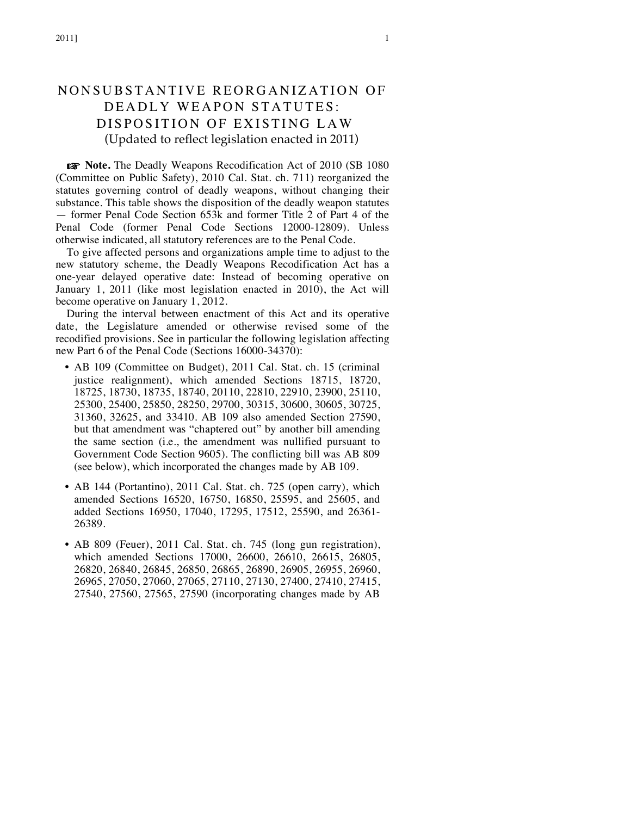# NONSUBSTANTIVE REORG ANIZATION OF DEADLY WEAPON STATUTES: DISPOSITION OF EXISTING LAW (Updated to reflect legislation enacted in 2011)

☞ **Note.** The Deadly Weapons Recodification Act of 2010 (SB 1080 (Committee on Public Safety), 2010 Cal. Stat. ch. 711) reorganized the statutes governing control of deadly weapons, without changing their substance. This table shows the disposition of the deadly weapon statutes — former Penal Code Section 653k and former Title 2 of Part 4 of the Penal Code (former Penal Code Sections 12000-12809). Unless otherwise indicated, all statutory references are to the Penal Code.

To give affected persons and organizations ample time to adjust to the new statutory scheme, the Deadly Weapons Recodification Act has a one-year delayed operative date: Instead of becoming operative on January 1, 2011 (like most legislation enacted in 2010), the Act will become operative on January 1, 2012.

During the interval between enactment of this Act and its operative date, the Legislature amended or otherwise revised some of the recodified provisions. See in particular the following legislation affecting new Part 6 of the Penal Code (Sections 16000-34370):

- AB 109 (Committee on Budget), 2011 Cal. Stat. ch. 15 (criminal justice realignment), which amended Sections 18715, 18720, 18725, 18730, 18735, 18740, 20110, 22810, 22910, 23900, 25110, 25300, 25400, 25850, 28250, 29700, 30315, 30600, 30605, 30725, 31360, 32625, and 33410. AB 109 also amended Section 27590, but that amendment was "chaptered out" by another bill amending the same section (i.e., the amendment was nullified pursuant to Government Code Section 9605). The conflicting bill was AB 809 (see below), which incorporated the changes made by AB 109.
- AB 144 (Portantino), 2011 Cal. Stat. ch. 725 (open carry), which amended Sections 16520, 16750, 16850, 25595, and 25605, and added Sections 16950, 17040, 17295, 17512, 25590, and 26361- 26389.
- AB 809 (Feuer), 2011 Cal. Stat. ch. 745 (long gun registration), which amended Sections 17000, 26600, 26610, 26615, 26805, 26820, 26840, 26845, 26850, 26865, 26890, 26905, 26955, 26960, 26965, 27050, 27060, 27065, 27110, 27130, 27400, 27410, 27415, 27540, 27560, 27565, 27590 (incorporating changes made by AB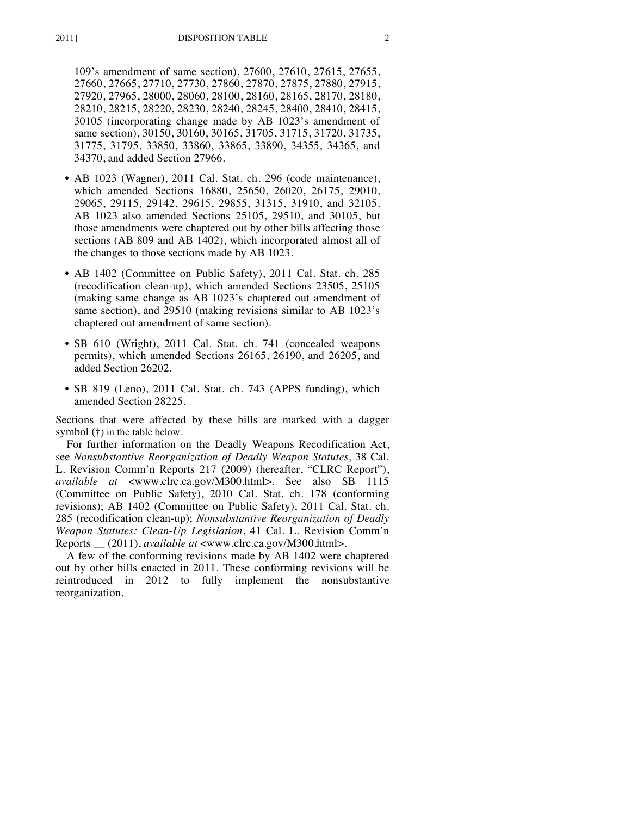109's amendment of same section), 27600, 27610, 27615, 27655, 27660, 27665, 27710, 27730, 27860, 27870, 27875, 27880, 27915, 27920, 27965, 28000, 28060, 28100, 28160, 28165, 28170, 28180, 28210, 28215, 28220, 28230, 28240, 28245, 28400, 28410, 28415, 30105 (incorporating change made by AB 1023's amendment of same section), 30150, 30160, 30165, 31705, 31715, 31720, 31735, 31775, 31795, 33850, 33860, 33865, 33890, 34355, 34365, and 34370, and added Section 27966.

- AB 1023 (Wagner), 2011 Cal. Stat. ch. 296 (code maintenance), which amended Sections 16880, 25650, 26020, 26175, 29010, 29065, 29115, 29142, 29615, 29855, 31315, 31910, and 32105. AB 1023 also amended Sections 25105, 29510, and 30105, but those amendments were chaptered out by other bills affecting those sections (AB 809 and AB 1402), which incorporated almost all of the changes to those sections made by AB 1023.
- AB 1402 (Committee on Public Safety), 2011 Cal. Stat. ch. 285 (recodification clean-up), which amended Sections 23505, 25105 (making same change as AB 1023's chaptered out amendment of same section), and 29510 (making revisions similar to AB 1023's chaptered out amendment of same section).
- SB 610 (Wright), 2011 Cal. Stat. ch. 741 (concealed weapons permits), which amended Sections 26165, 26190, and 26205, and added Section 26202.
- SB 819 (Leno), 2011 Cal. Stat. ch. 743 (APPS funding), which amended Section 28225.

Sections that were affected by these bills are marked with a dagger symbol (†) in the table below.

For further information on the Deadly Weapons Recodification Act, see *Nonsubstantive Reorganization of Deadly Weapon Statutes,* 38 Cal. L. Revision Comm'n Reports 217 (2009) (hereafter, "CLRC Report"), *available at* <www.clrc.ca.gov/M300.html>. See also SB 1115 (Committee on Public Safety), 2010 Cal. Stat. ch. 178 (conforming revisions); AB 1402 (Committee on Public Safety), 2011 Cal. Stat. ch. 285 (recodification clean-up); *Nonsubstantive Reorganization of Deadly Weapon Statutes: Clean-Up Legislation*, 41 Cal. L. Revision Comm'n Reports \_\_ (2011), *available at* <www.clrc.ca.gov/M300.html>.

A few of the conforming revisions made by AB 1402 were chaptered out by other bills enacted in 2011. These conforming revisions will be reintroduced in 2012 to fully implement the nonsubstantive reorganization.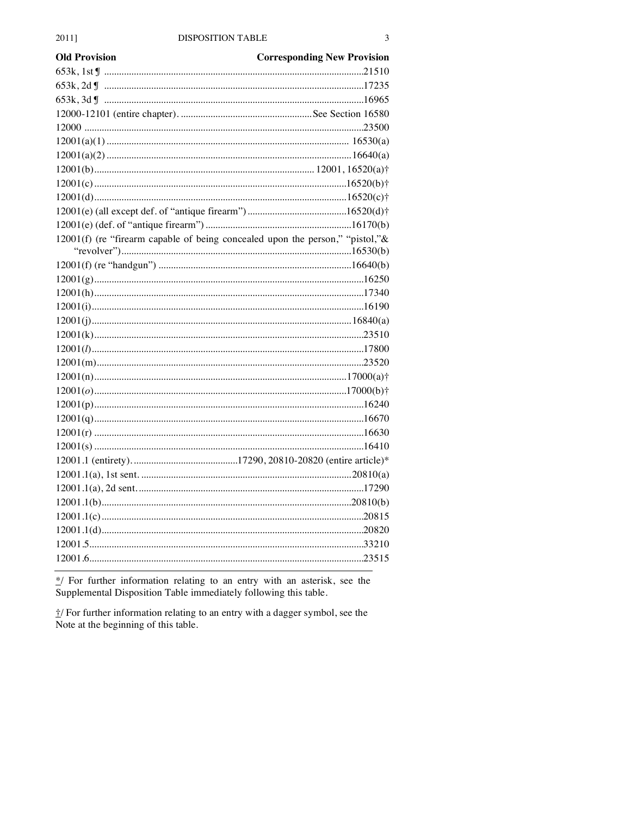| <b>Old Provision</b> | <b>Corresponding New Provision</b>                                            |
|----------------------|-------------------------------------------------------------------------------|
|                      |                                                                               |
|                      |                                                                               |
|                      |                                                                               |
|                      |                                                                               |
|                      |                                                                               |
|                      |                                                                               |
|                      |                                                                               |
|                      |                                                                               |
|                      |                                                                               |
|                      |                                                                               |
|                      |                                                                               |
|                      |                                                                               |
|                      | 12001(f) (re "firearm capable of being concealed upon the person," "pistol,"& |
|                      |                                                                               |
|                      |                                                                               |
|                      |                                                                               |
|                      |                                                                               |
|                      |                                                                               |
|                      |                                                                               |
|                      |                                                                               |
|                      |                                                                               |
|                      |                                                                               |
|                      |                                                                               |
|                      |                                                                               |
|                      |                                                                               |
|                      |                                                                               |
|                      |                                                                               |
|                      |                                                                               |
|                      |                                                                               |
|                      |                                                                               |
|                      |                                                                               |
|                      |                                                                               |
|                      |                                                                               |
|                      |                                                                               |
|                      |                                                                               |
|                      |                                                                               |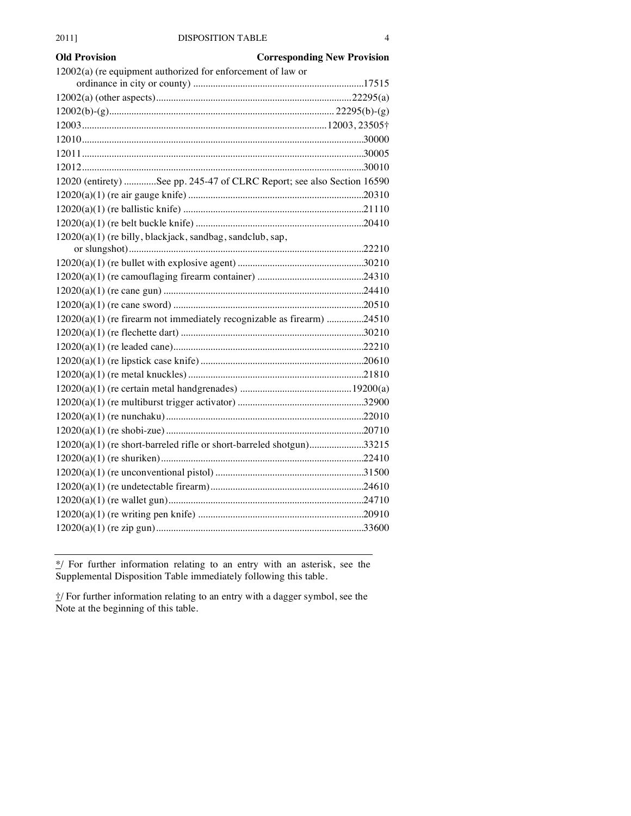| <b>Old Provision</b>                                                   | <b>Corresponding New Provision</b> |
|------------------------------------------------------------------------|------------------------------------|
| 12002(a) (re equipment authorized for enforcement of law or            |                                    |
|                                                                        |                                    |
|                                                                        |                                    |
|                                                                        |                                    |
|                                                                        |                                    |
|                                                                        |                                    |
|                                                                        |                                    |
|                                                                        |                                    |
| 12020 (entirety) See pp. 245-47 of CLRC Report; see also Section 16590 |                                    |
|                                                                        |                                    |
|                                                                        |                                    |
|                                                                        |                                    |
| 12020(a)(1) (re billy, blackjack, sandbag, sandclub, sap,              |                                    |
|                                                                        |                                    |
|                                                                        |                                    |
|                                                                        |                                    |
|                                                                        |                                    |
|                                                                        |                                    |
| 12020(a)(1) (re firearm not immediately recognizable as firearm) 24510 |                                    |
|                                                                        |                                    |
|                                                                        |                                    |
|                                                                        |                                    |
|                                                                        |                                    |
|                                                                        |                                    |
|                                                                        |                                    |
|                                                                        |                                    |
|                                                                        |                                    |
| 12020(a)(1) (re short-barreled rifle or short-barreled shotgun)33215   |                                    |
|                                                                        |                                    |
|                                                                        |                                    |
|                                                                        |                                    |
|                                                                        |                                    |
|                                                                        |                                    |
|                                                                        |                                    |
|                                                                        |                                    |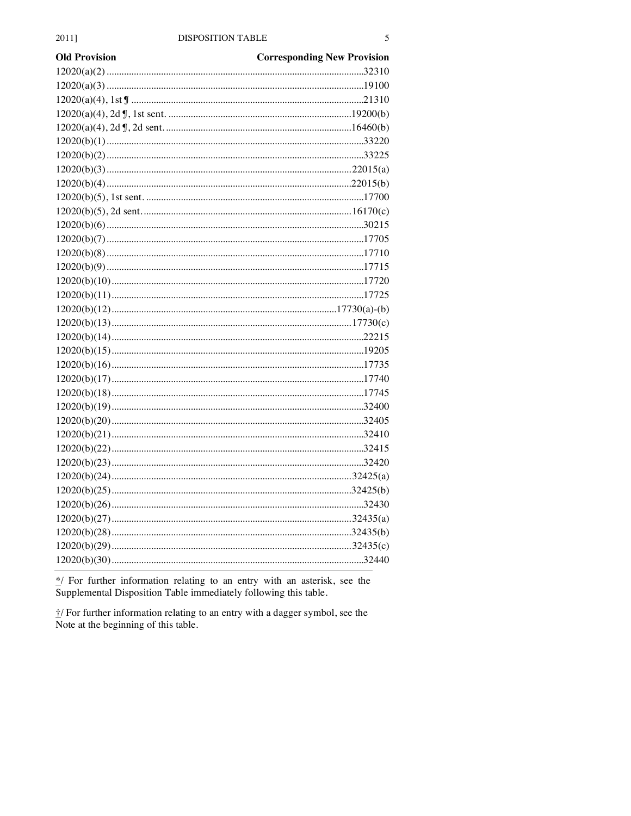| <b>Old Provision</b> | <b>Corresponding New Provision</b> |
|----------------------|------------------------------------|
|                      |                                    |
|                      |                                    |
|                      |                                    |
|                      |                                    |
|                      |                                    |
|                      |                                    |
|                      |                                    |
|                      |                                    |
|                      |                                    |
|                      |                                    |
|                      |                                    |
|                      |                                    |
|                      |                                    |
|                      |                                    |
|                      |                                    |
|                      |                                    |
|                      |                                    |
|                      |                                    |
|                      |                                    |
|                      |                                    |
|                      |                                    |
|                      |                                    |
|                      |                                    |
|                      |                                    |
|                      |                                    |
|                      |                                    |
|                      |                                    |
|                      |                                    |
|                      |                                    |
|                      |                                    |
|                      |                                    |
|                      |                                    |
|                      |                                    |
|                      |                                    |
|                      |                                    |
|                      |                                    |
|                      |                                    |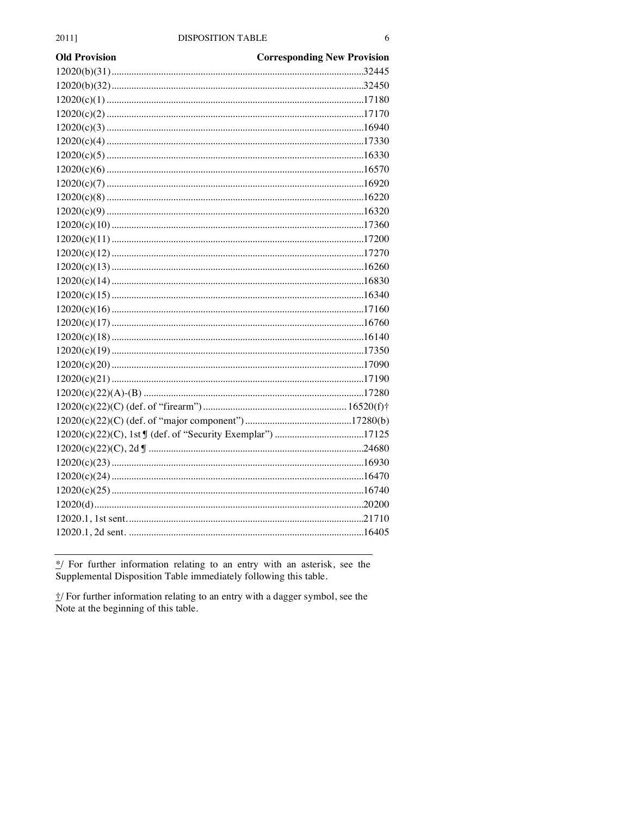| <b>Old Provision</b> | <b>Corresponding New Provision</b> |
|----------------------|------------------------------------|
|                      |                                    |
|                      |                                    |
|                      |                                    |
|                      |                                    |
|                      |                                    |
|                      |                                    |
|                      |                                    |
|                      |                                    |
|                      |                                    |
|                      |                                    |
|                      |                                    |
|                      |                                    |
|                      |                                    |
|                      |                                    |
|                      |                                    |
|                      |                                    |
|                      |                                    |
|                      |                                    |
|                      |                                    |
|                      |                                    |
|                      |                                    |
|                      |                                    |
|                      |                                    |
|                      |                                    |
|                      |                                    |
|                      |                                    |
|                      |                                    |
|                      |                                    |
|                      |                                    |
|                      |                                    |
|                      |                                    |
|                      |                                    |
|                      |                                    |
|                      |                                    |
|                      |                                    |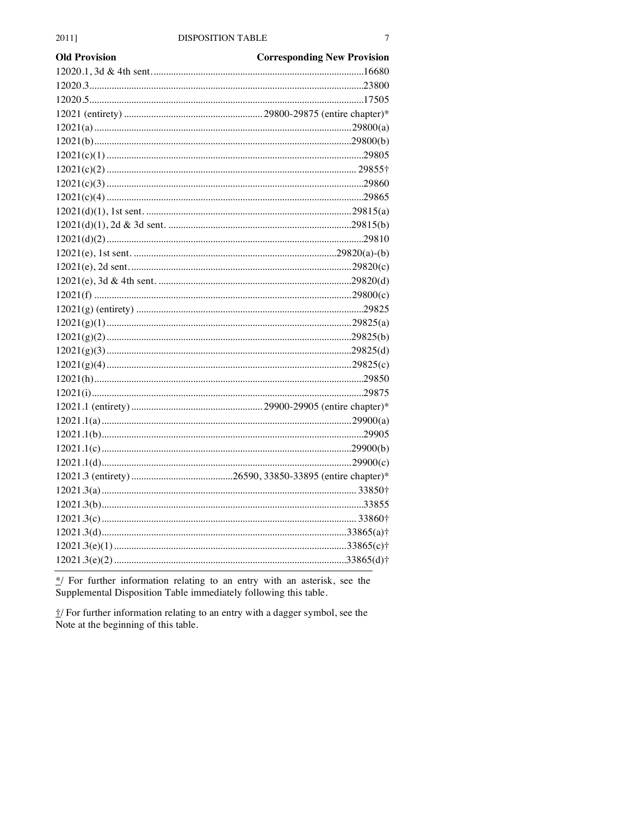| <b>Old Provision</b> | <b>Corresponding New Provision</b> |
|----------------------|------------------------------------|
|                      |                                    |
|                      |                                    |
|                      |                                    |
|                      |                                    |
|                      |                                    |
|                      |                                    |
|                      |                                    |
|                      |                                    |
|                      |                                    |
|                      |                                    |
|                      |                                    |
|                      |                                    |
|                      |                                    |
|                      |                                    |
|                      |                                    |
|                      |                                    |
|                      |                                    |
|                      |                                    |
|                      |                                    |
|                      |                                    |
|                      |                                    |
|                      |                                    |
|                      |                                    |
|                      |                                    |
|                      |                                    |
|                      |                                    |
|                      |                                    |
|                      |                                    |
|                      |                                    |
|                      |                                    |
|                      |                                    |
|                      |                                    |
|                      |                                    |
|                      |                                    |
|                      |                                    |
|                      |                                    |
|                      |                                    |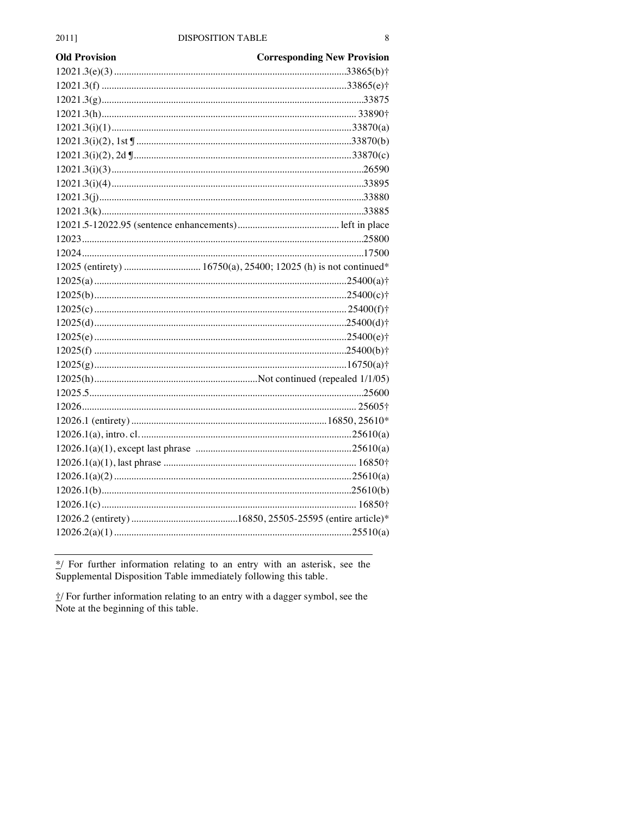| <b>Old Provision</b> | <b>Corresponding New Provision</b> |
|----------------------|------------------------------------|
|                      |                                    |
|                      |                                    |
|                      |                                    |
|                      |                                    |
|                      |                                    |
|                      |                                    |
|                      |                                    |
|                      |                                    |
|                      |                                    |
|                      |                                    |
|                      |                                    |
|                      |                                    |
|                      |                                    |
|                      |                                    |
|                      |                                    |
|                      |                                    |
|                      |                                    |
|                      |                                    |
|                      |                                    |
|                      |                                    |
|                      |                                    |
|                      |                                    |
|                      |                                    |
|                      |                                    |
|                      |                                    |
|                      |                                    |
|                      |                                    |
|                      |                                    |
|                      |                                    |
|                      |                                    |
|                      |                                    |
|                      |                                    |
|                      |                                    |
|                      |                                    |
|                      |                                    |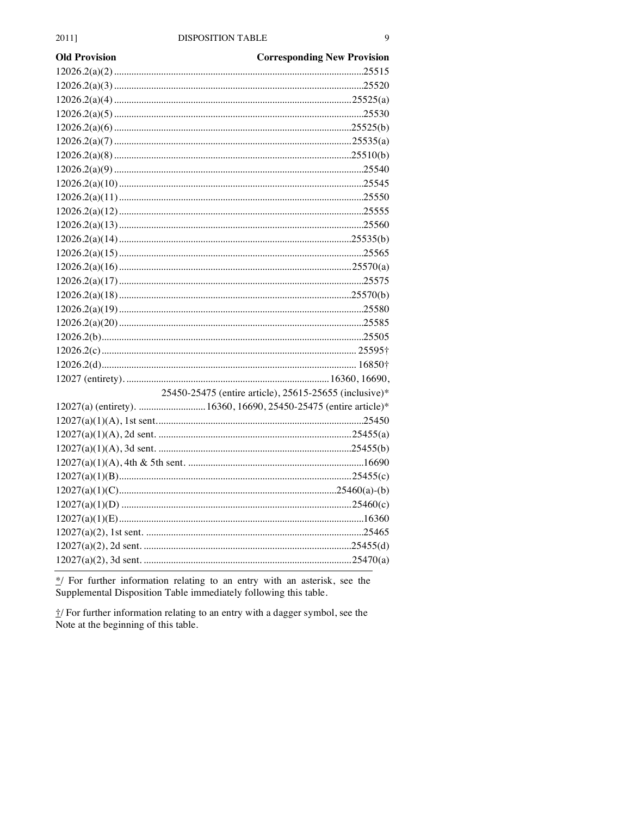| <b>Old Provision</b>                                              | <b>Corresponding New Provision</b>                     |
|-------------------------------------------------------------------|--------------------------------------------------------|
|                                                                   |                                                        |
|                                                                   |                                                        |
|                                                                   |                                                        |
|                                                                   |                                                        |
|                                                                   |                                                        |
|                                                                   |                                                        |
|                                                                   |                                                        |
|                                                                   |                                                        |
|                                                                   |                                                        |
|                                                                   |                                                        |
|                                                                   |                                                        |
|                                                                   |                                                        |
|                                                                   |                                                        |
|                                                                   |                                                        |
|                                                                   |                                                        |
|                                                                   |                                                        |
|                                                                   |                                                        |
|                                                                   |                                                        |
|                                                                   |                                                        |
|                                                                   |                                                        |
|                                                                   |                                                        |
|                                                                   |                                                        |
|                                                                   |                                                        |
|                                                                   | 25450-25475 (entire article), 25615-25655 (inclusive)* |
| 12027(a) (entirety).  16360, 16690, 25450-25475 (entire article)* |                                                        |
|                                                                   |                                                        |
|                                                                   |                                                        |
|                                                                   |                                                        |
|                                                                   |                                                        |
|                                                                   |                                                        |
|                                                                   |                                                        |
|                                                                   |                                                        |
|                                                                   |                                                        |
|                                                                   |                                                        |
|                                                                   |                                                        |
|                                                                   |                                                        |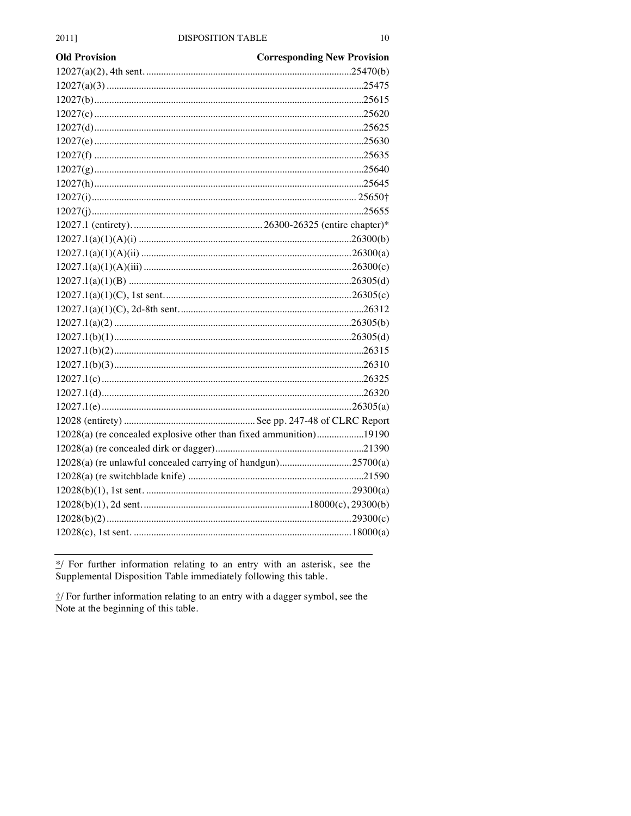| <b>Old Provision</b> | <b>Corresponding New Provision</b>                                 |
|----------------------|--------------------------------------------------------------------|
|                      |                                                                    |
|                      |                                                                    |
|                      |                                                                    |
|                      |                                                                    |
|                      |                                                                    |
|                      |                                                                    |
|                      |                                                                    |
|                      |                                                                    |
|                      |                                                                    |
|                      |                                                                    |
|                      |                                                                    |
|                      |                                                                    |
|                      |                                                                    |
|                      |                                                                    |
|                      |                                                                    |
|                      |                                                                    |
|                      |                                                                    |
|                      |                                                                    |
|                      |                                                                    |
|                      |                                                                    |
|                      |                                                                    |
|                      |                                                                    |
|                      |                                                                    |
|                      |                                                                    |
|                      |                                                                    |
|                      |                                                                    |
|                      | 12028(a) (re concealed explosive other than fixed ammunition)19190 |
|                      |                                                                    |
|                      | 12028(a) (re unlawful concealed carrying of handgun)25700(a)       |
|                      |                                                                    |
|                      |                                                                    |
|                      |                                                                    |
|                      |                                                                    |
|                      |                                                                    |
|                      |                                                                    |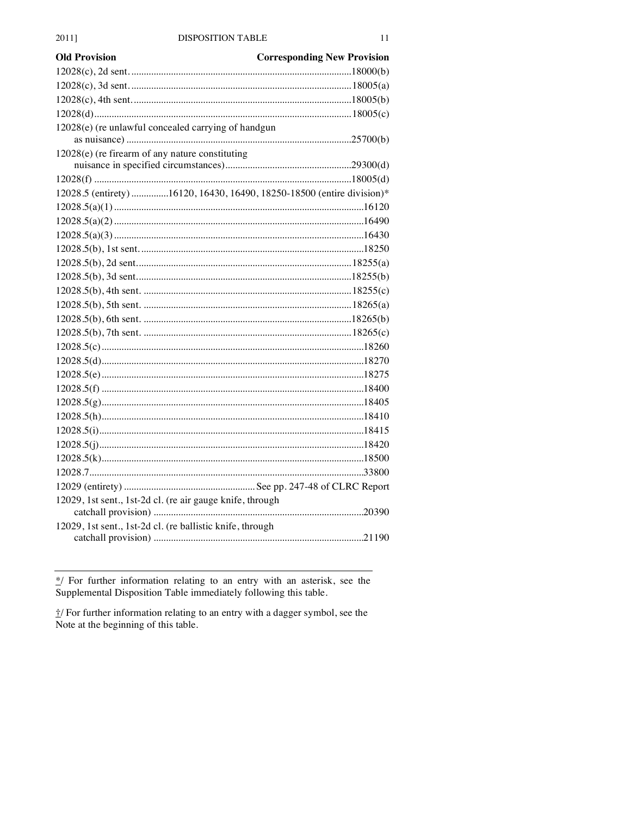| <b>Old Provision</b>                                                   | <b>Corresponding New Provision</b> |
|------------------------------------------------------------------------|------------------------------------|
|                                                                        |                                    |
|                                                                        |                                    |
|                                                                        |                                    |
|                                                                        |                                    |
| 12028(e) (re unlawful concealed carrying of handgun                    |                                    |
| $12028(e)$ (re firearm of any nature constituting                      |                                    |
|                                                                        |                                    |
|                                                                        |                                    |
| 12028.5 (entirety) 16120, 16430, 16490, 18250-18500 (entire division)* |                                    |
|                                                                        |                                    |
|                                                                        |                                    |
|                                                                        |                                    |
|                                                                        |                                    |
|                                                                        |                                    |
|                                                                        |                                    |
|                                                                        |                                    |
|                                                                        |                                    |
|                                                                        |                                    |
|                                                                        |                                    |
|                                                                        |                                    |
|                                                                        |                                    |
|                                                                        |                                    |
|                                                                        |                                    |
|                                                                        |                                    |
|                                                                        |                                    |
|                                                                        |                                    |
|                                                                        |                                    |
|                                                                        |                                    |
|                                                                        |                                    |
|                                                                        |                                    |
| 12029, 1st sent., 1st-2d cl. (re air gauge knife, through              |                                    |
|                                                                        |                                    |
| 12029, 1st sent., 1st-2d cl. (re ballistic knife, through              |                                    |
|                                                                        |                                    |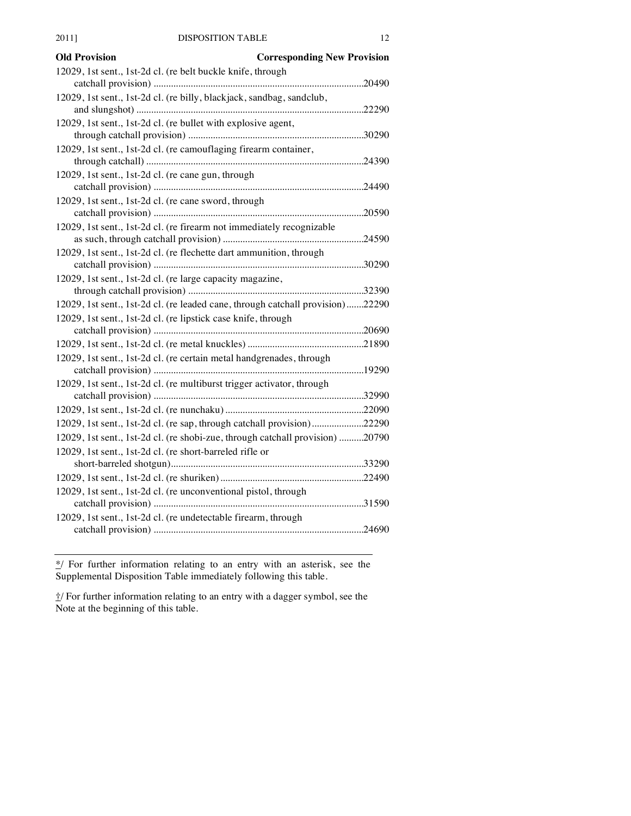| <b>Old Provision</b><br><b>Corresponding New Provision</b>                     |        |
|--------------------------------------------------------------------------------|--------|
| 12029, 1st sent., 1st-2d cl. (re belt buckle knife, through                    |        |
|                                                                                | .20490 |
| 12029, 1st sent., 1st-2d cl. (re billy, blackjack, sandbag, sandclub,          |        |
|                                                                                |        |
| 12029, 1st sent., 1st-2d cl. (re bullet with explosive agent,                  |        |
|                                                                                |        |
| 12029, 1st sent., 1st-2d cl. (re camouflaging firearm container,               |        |
|                                                                                |        |
| 12029, 1st sent., 1st-2d cl. (re cane gun, through                             |        |
| 12029, 1st sent., 1st-2d cl. (re cane sword, through                           |        |
|                                                                                |        |
| 12029, 1st sent., 1st-2d cl. (re firearm not immediately recognizable          |        |
|                                                                                |        |
| 12029, 1st sent., 1st-2d cl. (re flechette dart ammunition, through            |        |
|                                                                                |        |
| 12029, 1st sent., 1st-2d cl. (re large capacity magazine,                      |        |
|                                                                                |        |
| 12029, 1st sent., 1st-2d cl. (re leaded cane, through catchall provision)22290 |        |
| 12029, 1st sent., 1st-2d cl. (re lipstick case knife, through                  |        |
|                                                                                |        |
|                                                                                |        |
| 12029, 1st sent., 1st-2d cl. (re certain metal handgrenades, through           |        |
|                                                                                |        |
| 12029, 1st sent., 1st-2d cl. (re multiburst trigger activator, through         |        |
|                                                                                |        |
|                                                                                |        |
| 12029, 1st sent., 1st-2d cl. (re sap, through catchall provision)22290         |        |
| 12029, 1st sent., 1st-2d cl. (re shobi-zue, through catchall provision) 20790  |        |
| 12029, 1st sent., 1st-2d cl. (re short-barreled rifle or                       |        |
|                                                                                |        |
| 12029, 1st sent., 1st-2d cl. (re unconventional pistol, through                |        |
|                                                                                |        |
| 12029, 1st sent., 1st-2d cl. (re undetectable firearm, through                 |        |
|                                                                                |        |
|                                                                                |        |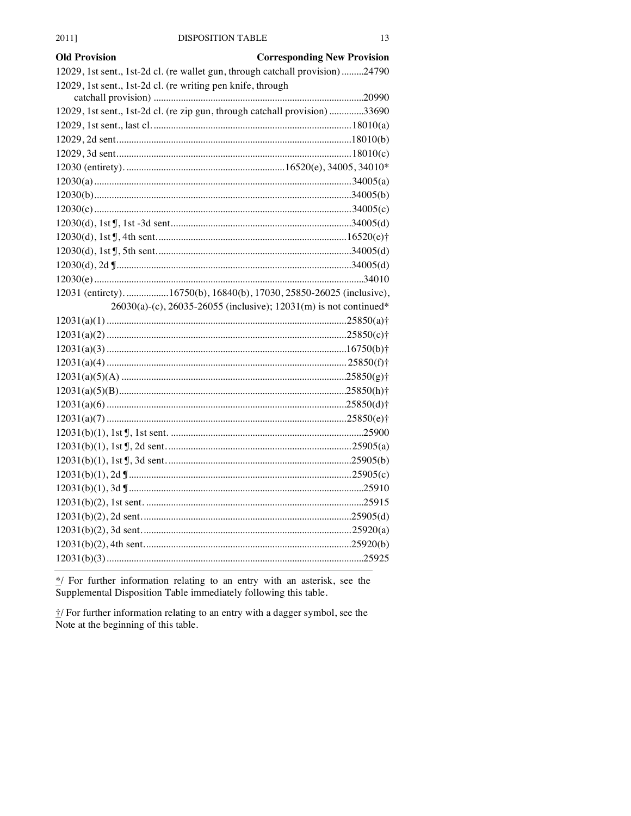#### 2011]

| <b>Old Provision</b>                                        | <b>Corresponding New Provision</b>                                            |
|-------------------------------------------------------------|-------------------------------------------------------------------------------|
|                                                             | 12029, 1st sent., 1st-2d cl. (re wallet gun, through catchall provision)24790 |
| 12029, 1st sent., 1st-2d cl. (re writing pen knife, through |                                                                               |
|                                                             |                                                                               |
|                                                             | 12029, 1st sent., 1st-2d cl. (re zip gun, through catchall provision) 33690   |
|                                                             |                                                                               |
|                                                             |                                                                               |
|                                                             |                                                                               |
|                                                             |                                                                               |
|                                                             |                                                                               |
|                                                             |                                                                               |
|                                                             |                                                                               |
|                                                             |                                                                               |
|                                                             |                                                                               |
|                                                             |                                                                               |
|                                                             |                                                                               |
|                                                             |                                                                               |
|                                                             | 12031 (entirety). 16750(b), 16840(b), 17030, 25850-26025 (inclusive),         |
|                                                             | 26030(a)-(c), 26035-26055 (inclusive); 12031(m) is not continued*             |
|                                                             |                                                                               |
|                                                             |                                                                               |
|                                                             |                                                                               |
|                                                             |                                                                               |
|                                                             |                                                                               |
|                                                             |                                                                               |
|                                                             |                                                                               |
|                                                             |                                                                               |
|                                                             |                                                                               |
|                                                             |                                                                               |
|                                                             |                                                                               |
|                                                             |                                                                               |
|                                                             |                                                                               |
|                                                             |                                                                               |
|                                                             |                                                                               |
|                                                             |                                                                               |
|                                                             |                                                                               |
|                                                             |                                                                               |
|                                                             |                                                                               |

\*/ For further information relating to an entry with an asterisk, see the Supplemental Disposition Table immediately following this table.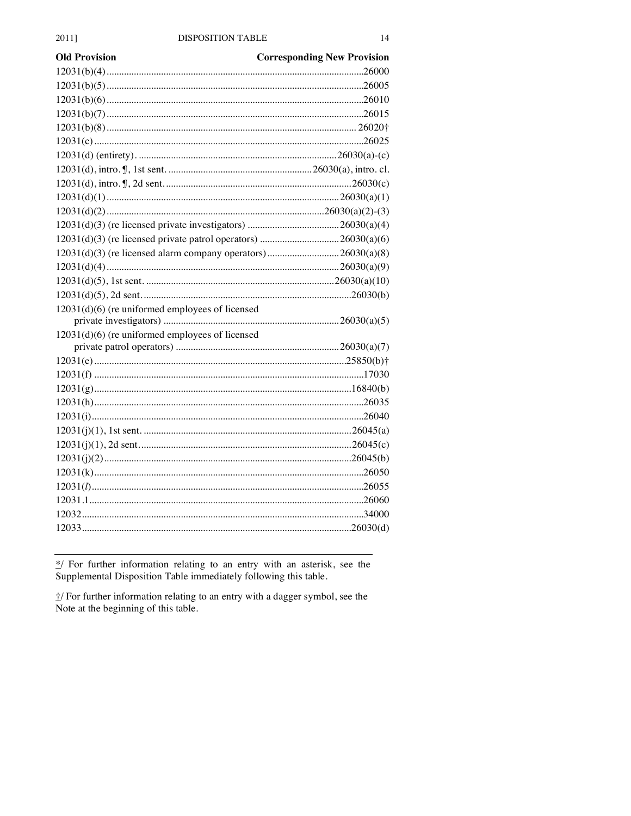| Old Provision                                                | <b>Corresponding New Provision</b> |
|--------------------------------------------------------------|------------------------------------|
|                                                              |                                    |
|                                                              |                                    |
|                                                              |                                    |
|                                                              |                                    |
|                                                              |                                    |
|                                                              |                                    |
|                                                              |                                    |
|                                                              |                                    |
|                                                              |                                    |
|                                                              |                                    |
|                                                              |                                    |
|                                                              |                                    |
|                                                              |                                    |
| 12031(d)(3) (re licensed alarm company operators)26030(a)(8) |                                    |
|                                                              |                                    |
|                                                              |                                    |
|                                                              |                                    |
| 12031(d)(6) (re uniformed employees of licensed              |                                    |
|                                                              |                                    |
| $12031(d)(6)$ (re uniformed employees of licensed            |                                    |
|                                                              |                                    |
|                                                              |                                    |
|                                                              |                                    |
|                                                              |                                    |
|                                                              |                                    |
|                                                              |                                    |
|                                                              |                                    |
|                                                              |                                    |
|                                                              |                                    |
|                                                              |                                    |
|                                                              |                                    |
|                                                              |                                    |
|                                                              |                                    |
|                                                              |                                    |
|                                                              |                                    |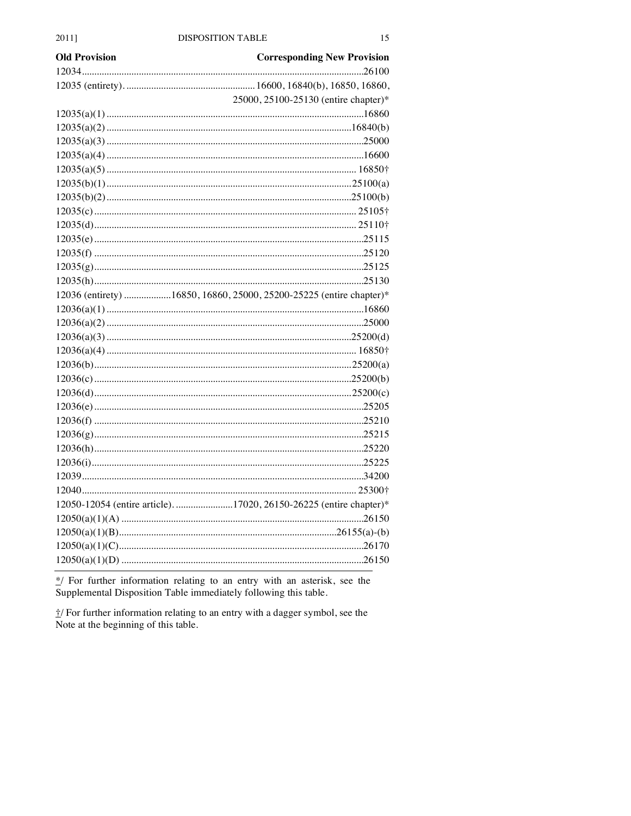| <b>Old Provision</b> | <b>Corresponding New Provision</b>                                  |
|----------------------|---------------------------------------------------------------------|
|                      |                                                                     |
|                      |                                                                     |
|                      | 25000, 25100-25130 (entire chapter)*                                |
|                      |                                                                     |
|                      |                                                                     |
|                      |                                                                     |
|                      |                                                                     |
|                      |                                                                     |
|                      |                                                                     |
|                      |                                                                     |
|                      |                                                                     |
|                      |                                                                     |
|                      |                                                                     |
|                      |                                                                     |
|                      |                                                                     |
|                      |                                                                     |
|                      | 12036 (entirety) 16850, 16860, 25000, 25200-25225 (entire chapter)* |
|                      |                                                                     |
|                      |                                                                     |
|                      |                                                                     |
|                      |                                                                     |
|                      |                                                                     |
|                      |                                                                     |
|                      |                                                                     |
|                      |                                                                     |
|                      |                                                                     |
|                      |                                                                     |
|                      |                                                                     |
|                      |                                                                     |
|                      |                                                                     |
|                      |                                                                     |
|                      | 12050-12054 (entire article)17020, 26150-26225 (entire chapter)*    |
|                      |                                                                     |
|                      |                                                                     |
|                      |                                                                     |
|                      |                                                                     |
|                      |                                                                     |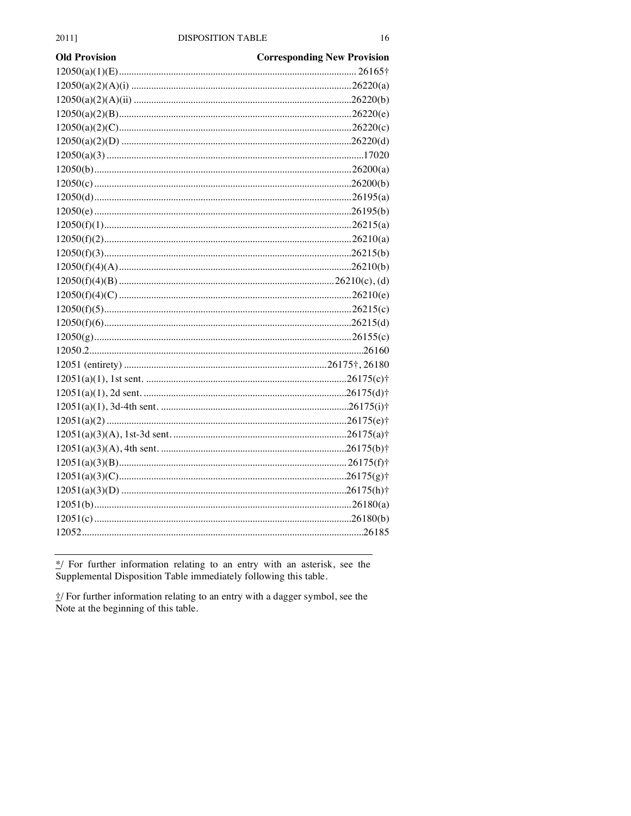| <b>Old Provision</b> | <b>Corresponding New Provision</b> |
|----------------------|------------------------------------|
|                      |                                    |
|                      |                                    |
|                      |                                    |
|                      |                                    |
|                      |                                    |
|                      |                                    |
|                      |                                    |
|                      |                                    |
|                      |                                    |
|                      |                                    |
|                      |                                    |
|                      |                                    |
|                      |                                    |
|                      |                                    |
|                      |                                    |
|                      |                                    |
|                      |                                    |
|                      |                                    |
|                      |                                    |
|                      |                                    |
|                      |                                    |
|                      |                                    |
|                      |                                    |
|                      |                                    |
|                      |                                    |
|                      |                                    |
|                      |                                    |
|                      |                                    |
|                      |                                    |
|                      |                                    |
|                      |                                    |
|                      |                                    |
|                      |                                    |
|                      |                                    |
|                      |                                    |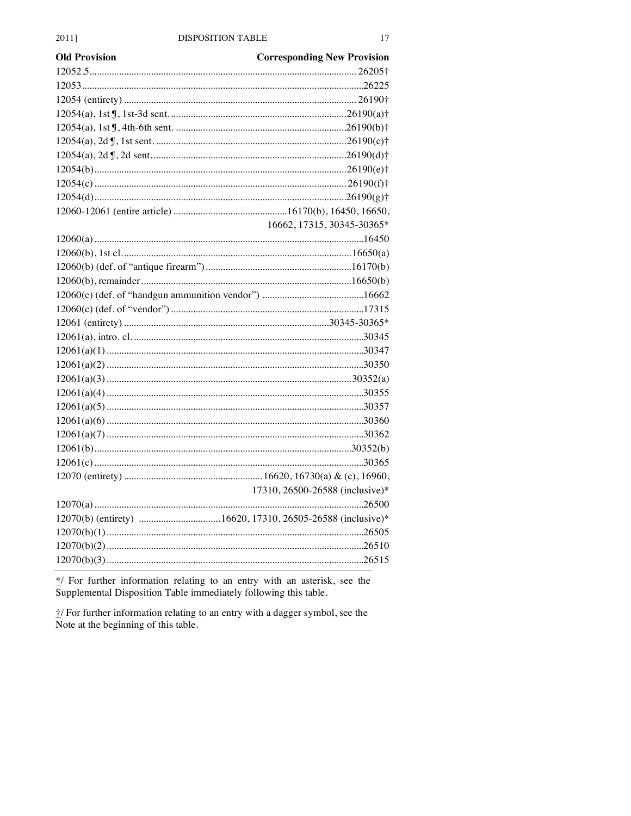| <b>Old Provision</b> | <b>Corresponding New Provision</b> |
|----------------------|------------------------------------|
|                      |                                    |
|                      |                                    |
|                      |                                    |
|                      |                                    |
|                      |                                    |
|                      |                                    |
|                      |                                    |
|                      |                                    |
|                      |                                    |
|                      |                                    |
|                      |                                    |
|                      | 16662, 17315, 30345-30365*         |
|                      |                                    |
|                      |                                    |
|                      |                                    |
|                      |                                    |
|                      |                                    |
|                      |                                    |
|                      |                                    |
|                      |                                    |
|                      |                                    |
|                      |                                    |
|                      |                                    |
|                      |                                    |
|                      |                                    |
|                      |                                    |
|                      |                                    |
|                      |                                    |
|                      |                                    |
|                      |                                    |
|                      | 17310, 26500-26588 (inclusive)*    |
|                      |                                    |
|                      |                                    |
|                      |                                    |
|                      |                                    |
|                      |                                    |
|                      |                                    |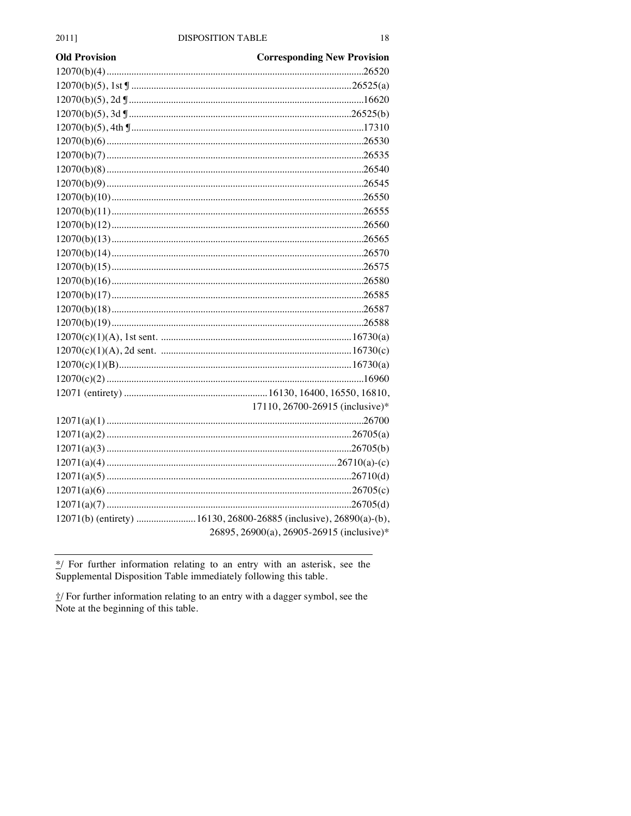| <b>Old Provision</b> | <b>Corresponding New Provision</b>                                 |
|----------------------|--------------------------------------------------------------------|
|                      |                                                                    |
|                      |                                                                    |
|                      |                                                                    |
|                      |                                                                    |
|                      |                                                                    |
|                      |                                                                    |
|                      |                                                                    |
|                      |                                                                    |
|                      |                                                                    |
|                      |                                                                    |
|                      |                                                                    |
|                      |                                                                    |
|                      |                                                                    |
|                      |                                                                    |
|                      |                                                                    |
|                      |                                                                    |
|                      |                                                                    |
|                      |                                                                    |
|                      |                                                                    |
|                      |                                                                    |
|                      |                                                                    |
|                      |                                                                    |
|                      |                                                                    |
|                      |                                                                    |
|                      | 17110, 26700-26915 (inclusive)*                                    |
|                      |                                                                    |
|                      |                                                                    |
|                      |                                                                    |
|                      |                                                                    |
|                      |                                                                    |
|                      |                                                                    |
|                      |                                                                    |
|                      | 12071(b) (entirety)  16130, 26800-26885 (inclusive), 26890(a)-(b), |
|                      | 26895, 26900(a), 26905-26915 (inclusive)*                          |
|                      |                                                                    |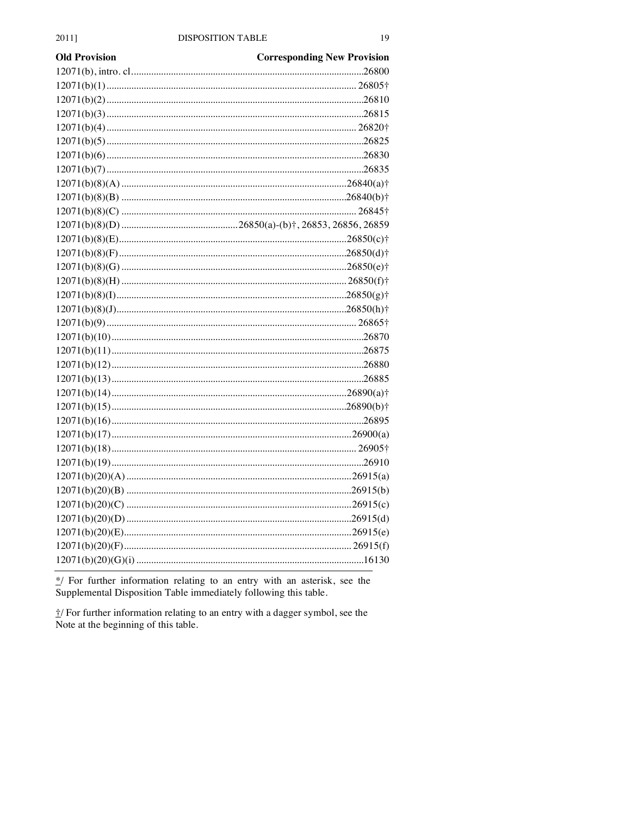| <b>Old Provision</b> | <b>Corresponding New Provision</b> |
|----------------------|------------------------------------|
|                      |                                    |
|                      |                                    |
|                      |                                    |
|                      |                                    |
|                      |                                    |
|                      |                                    |
|                      |                                    |
|                      |                                    |
|                      |                                    |
|                      |                                    |
|                      |                                    |
|                      |                                    |
|                      |                                    |
|                      |                                    |
|                      |                                    |
|                      |                                    |
|                      |                                    |
|                      |                                    |
|                      |                                    |
|                      |                                    |
|                      |                                    |
|                      |                                    |
|                      |                                    |
|                      |                                    |
|                      |                                    |
|                      |                                    |
|                      |                                    |
|                      |                                    |
|                      |                                    |
|                      |                                    |
|                      |                                    |
|                      |                                    |
|                      |                                    |
|                      |                                    |
|                      |                                    |
|                      |                                    |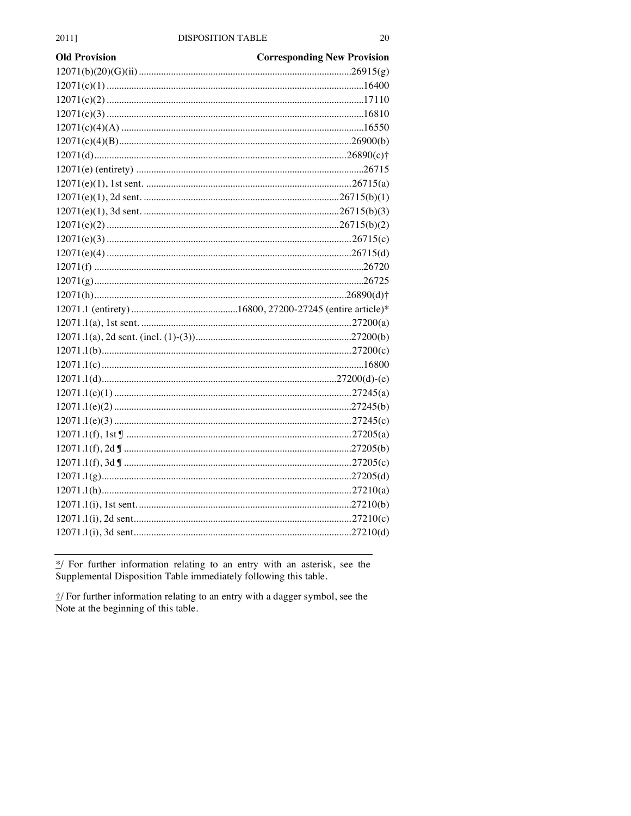| Old Provision | <b>Corresponding New Provision</b> |
|---------------|------------------------------------|
|               |                                    |
|               |                                    |
|               |                                    |
|               |                                    |
|               |                                    |
|               |                                    |
|               |                                    |
|               |                                    |
|               |                                    |
|               |                                    |
|               |                                    |
|               |                                    |
|               |                                    |
|               |                                    |
|               |                                    |
|               |                                    |
|               |                                    |
|               |                                    |
|               |                                    |
|               |                                    |
|               |                                    |
|               |                                    |
|               |                                    |
|               |                                    |
|               |                                    |
|               |                                    |
|               |                                    |
|               |                                    |
|               |                                    |
|               |                                    |
|               |                                    |
|               |                                    |
|               |                                    |
|               |                                    |
|               |                                    |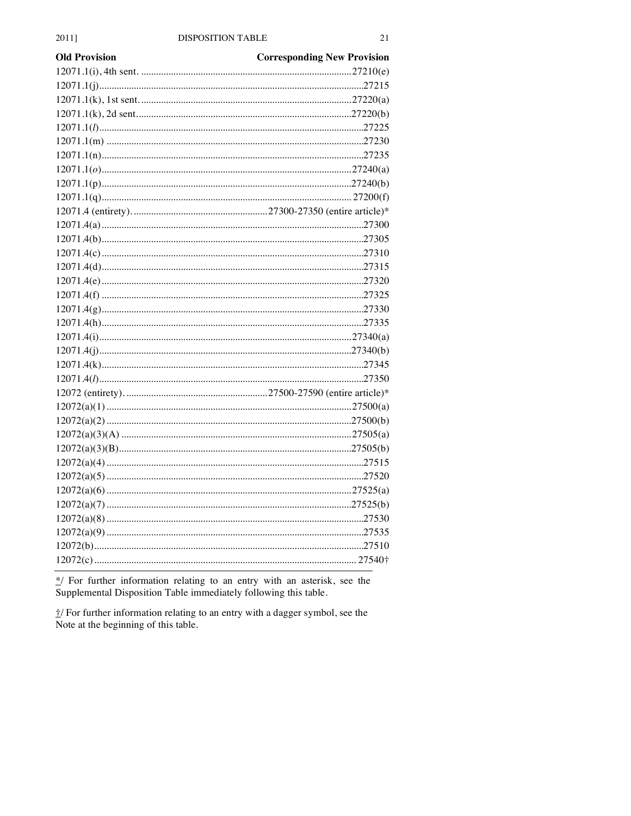| <b>Old Provision</b> | <b>Corresponding New Provision</b> |
|----------------------|------------------------------------|
|                      |                                    |
|                      |                                    |
|                      |                                    |
|                      |                                    |
|                      |                                    |
|                      |                                    |
|                      |                                    |
|                      |                                    |
|                      |                                    |
|                      |                                    |
|                      |                                    |
|                      |                                    |
|                      |                                    |
|                      |                                    |
|                      |                                    |
|                      |                                    |
|                      |                                    |
|                      |                                    |
|                      |                                    |
|                      |                                    |
|                      |                                    |
|                      |                                    |
|                      |                                    |
|                      |                                    |
|                      |                                    |
|                      |                                    |
|                      |                                    |
|                      |                                    |
|                      |                                    |
|                      |                                    |
|                      |                                    |
|                      |                                    |
|                      |                                    |
|                      |                                    |
|                      |                                    |
|                      |                                    |
|                      |                                    |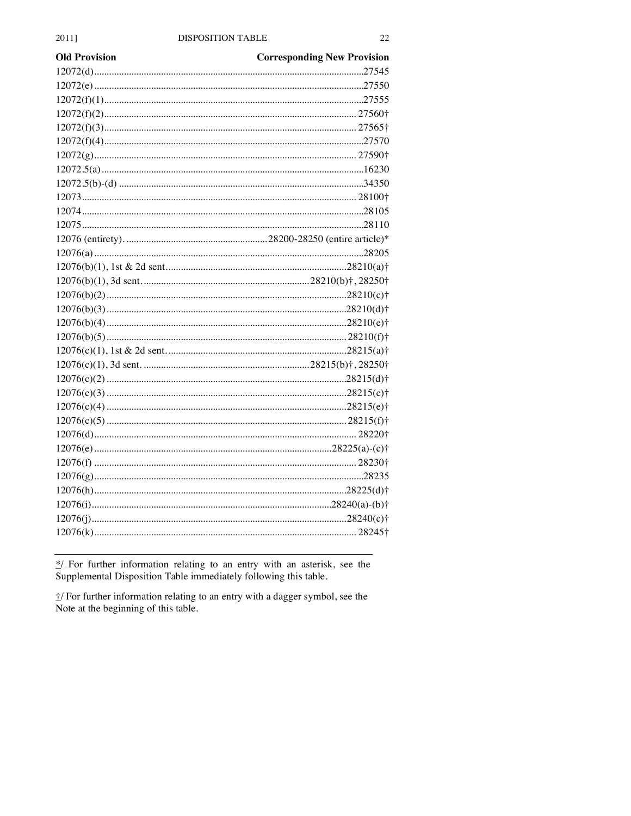| <b>Old Provision</b> | <b>Corresponding New Provision</b> |
|----------------------|------------------------------------|
|                      |                                    |
|                      |                                    |
|                      |                                    |
|                      |                                    |
|                      |                                    |
|                      |                                    |
|                      |                                    |
|                      |                                    |
|                      |                                    |
|                      |                                    |
|                      |                                    |
|                      |                                    |
|                      |                                    |
|                      |                                    |
|                      |                                    |
|                      |                                    |
|                      |                                    |
|                      |                                    |
|                      |                                    |
|                      |                                    |
|                      |                                    |
|                      |                                    |
|                      |                                    |
|                      |                                    |
|                      |                                    |
|                      |                                    |
|                      |                                    |
|                      |                                    |
|                      |                                    |
|                      |                                    |
|                      |                                    |
|                      |                                    |
|                      |                                    |
|                      |                                    |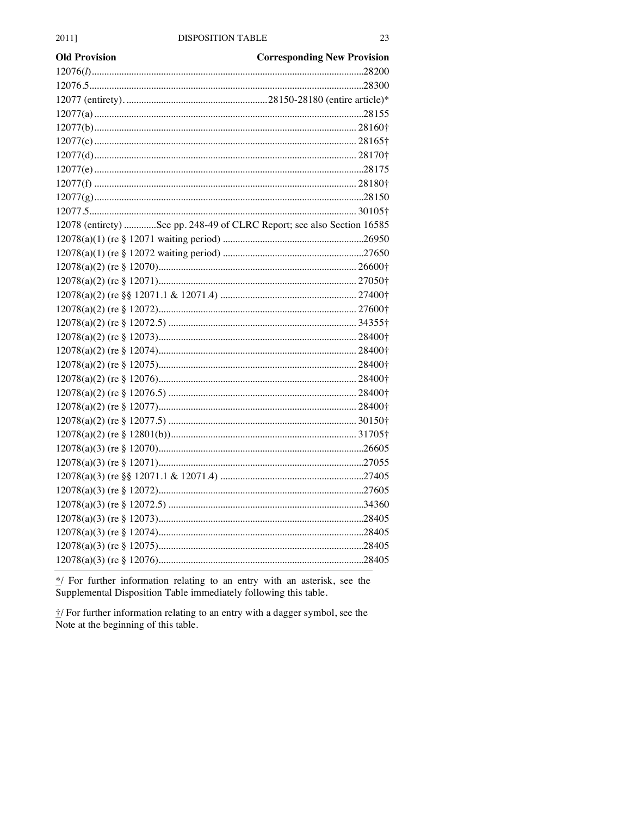| <b>Old Provision</b> | <b>Corresponding New Provision</b>                                     |
|----------------------|------------------------------------------------------------------------|
|                      |                                                                        |
|                      |                                                                        |
|                      |                                                                        |
|                      |                                                                        |
|                      |                                                                        |
|                      |                                                                        |
|                      |                                                                        |
|                      |                                                                        |
|                      |                                                                        |
|                      |                                                                        |
|                      |                                                                        |
|                      | 12078 (entirety) See pp. 248-49 of CLRC Report; see also Section 16585 |
|                      |                                                                        |
|                      |                                                                        |
|                      |                                                                        |
|                      |                                                                        |
|                      |                                                                        |
|                      |                                                                        |
|                      |                                                                        |
|                      |                                                                        |
|                      |                                                                        |
|                      |                                                                        |
|                      |                                                                        |
|                      |                                                                        |
|                      |                                                                        |
|                      |                                                                        |
|                      |                                                                        |
|                      |                                                                        |
|                      |                                                                        |
|                      |                                                                        |
|                      |                                                                        |
|                      |                                                                        |
|                      |                                                                        |
|                      |                                                                        |
|                      |                                                                        |
|                      |                                                                        |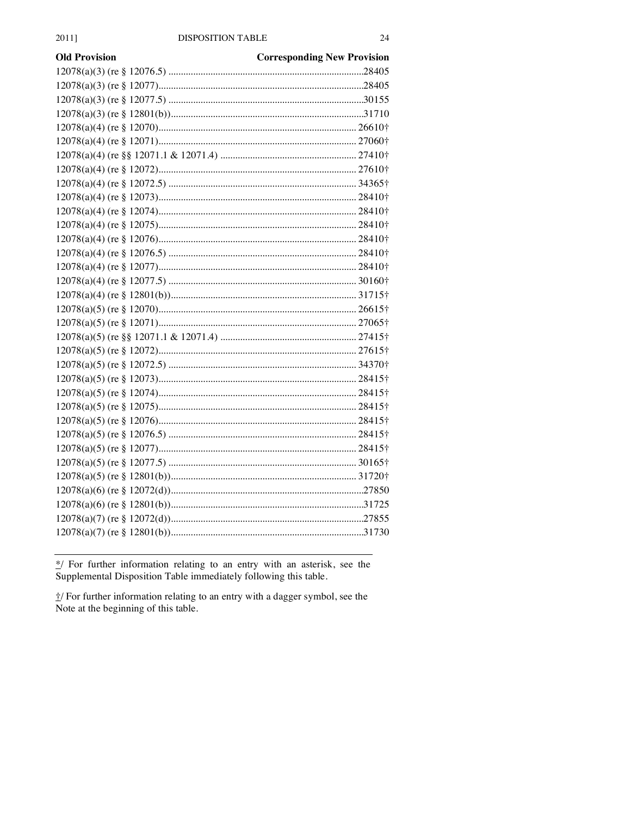| <b>Old Provision</b> | <b>Corresponding New Provision</b> |
|----------------------|------------------------------------|
|                      |                                    |
|                      |                                    |
|                      |                                    |
|                      |                                    |
|                      |                                    |
|                      |                                    |
|                      |                                    |
|                      |                                    |
|                      |                                    |
|                      |                                    |
|                      |                                    |
|                      |                                    |
|                      |                                    |
|                      |                                    |
|                      |                                    |
|                      |                                    |
|                      |                                    |
|                      |                                    |
|                      |                                    |
|                      |                                    |
|                      |                                    |
|                      |                                    |
|                      |                                    |
|                      |                                    |
|                      |                                    |
|                      |                                    |
|                      |                                    |
|                      |                                    |
|                      |                                    |
|                      |                                    |
|                      |                                    |
|                      |                                    |
|                      |                                    |
|                      |                                    |
|                      |                                    |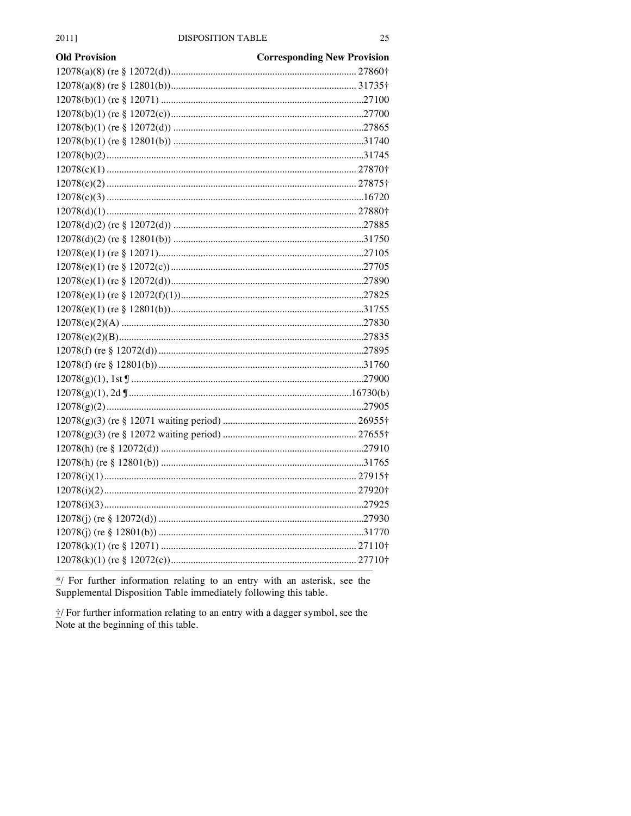| <b>Old Provision</b> | <b>Corresponding New Provision</b> |
|----------------------|------------------------------------|
|                      |                                    |
|                      |                                    |
|                      |                                    |
|                      |                                    |
|                      |                                    |
|                      |                                    |
|                      |                                    |
|                      |                                    |
|                      |                                    |
|                      |                                    |
|                      |                                    |
|                      |                                    |
|                      |                                    |
|                      |                                    |
|                      |                                    |
|                      |                                    |
|                      |                                    |
|                      |                                    |
|                      |                                    |
|                      |                                    |
|                      |                                    |
|                      |                                    |
|                      |                                    |
|                      |                                    |
|                      |                                    |
|                      |                                    |
|                      |                                    |
|                      |                                    |
|                      |                                    |
|                      |                                    |
|                      |                                    |
|                      |                                    |
|                      |                                    |
|                      |                                    |
|                      |                                    |
|                      |                                    |
|                      |                                    |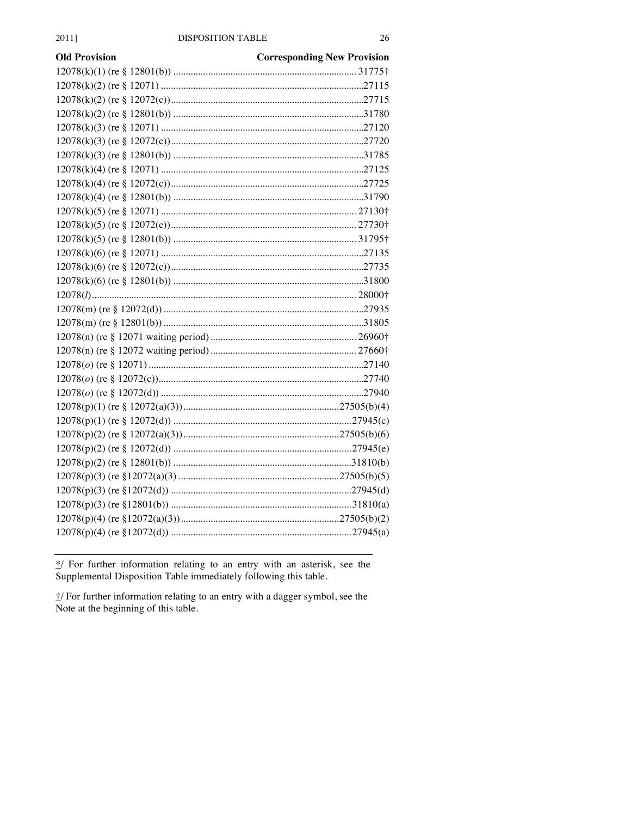| <b>Old Provision</b> | <b>Corresponding New Provision</b> |
|----------------------|------------------------------------|
|                      |                                    |
|                      |                                    |
|                      |                                    |
|                      |                                    |
|                      |                                    |
|                      |                                    |
|                      |                                    |
|                      |                                    |
|                      |                                    |
|                      |                                    |
|                      |                                    |
|                      |                                    |
|                      |                                    |
|                      |                                    |
|                      |                                    |
|                      |                                    |
|                      |                                    |
|                      |                                    |
|                      |                                    |
|                      |                                    |
|                      |                                    |
|                      |                                    |
|                      |                                    |
|                      |                                    |
|                      |                                    |
|                      |                                    |
|                      |                                    |
|                      |                                    |
|                      |                                    |
|                      |                                    |
|                      |                                    |
|                      |                                    |
|                      |                                    |
|                      |                                    |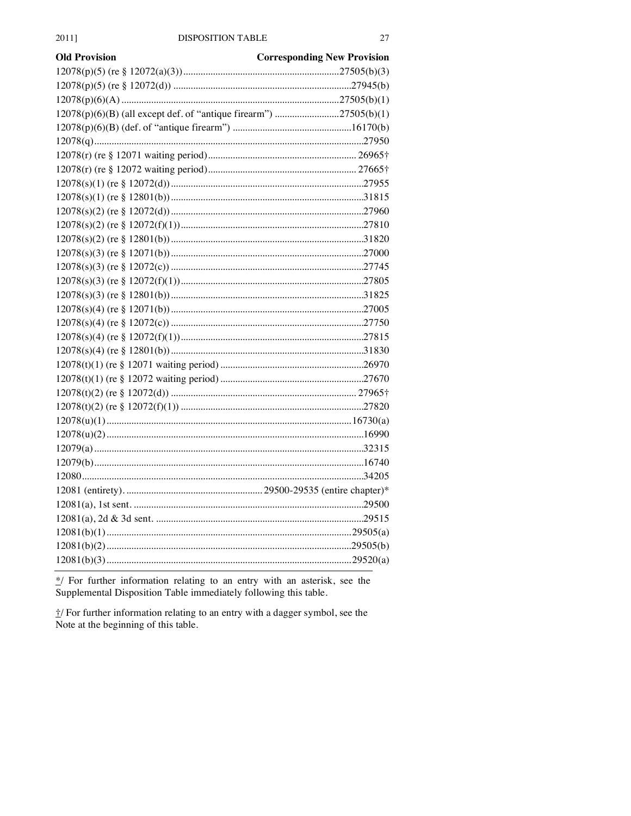| Old Provision                                                     | <b>Corresponding New Provision</b> |
|-------------------------------------------------------------------|------------------------------------|
|                                                                   |                                    |
|                                                                   |                                    |
|                                                                   |                                    |
| 12078(p)(6)(B) (all except def. of "antique firearm") 27505(b)(1) |                                    |
|                                                                   |                                    |
|                                                                   |                                    |
|                                                                   |                                    |
|                                                                   |                                    |
|                                                                   |                                    |
|                                                                   |                                    |
|                                                                   |                                    |
|                                                                   |                                    |
|                                                                   |                                    |
|                                                                   |                                    |
|                                                                   |                                    |
|                                                                   |                                    |
|                                                                   |                                    |
|                                                                   |                                    |
|                                                                   |                                    |
|                                                                   |                                    |
|                                                                   |                                    |
|                                                                   |                                    |
|                                                                   |                                    |
|                                                                   |                                    |
|                                                                   |                                    |
|                                                                   |                                    |
|                                                                   |                                    |
|                                                                   |                                    |
|                                                                   |                                    |
|                                                                   |                                    |
|                                                                   |                                    |
|                                                                   |                                    |
|                                                                   |                                    |
|                                                                   |                                    |
|                                                                   |                                    |
|                                                                   |                                    |
|                                                                   |                                    |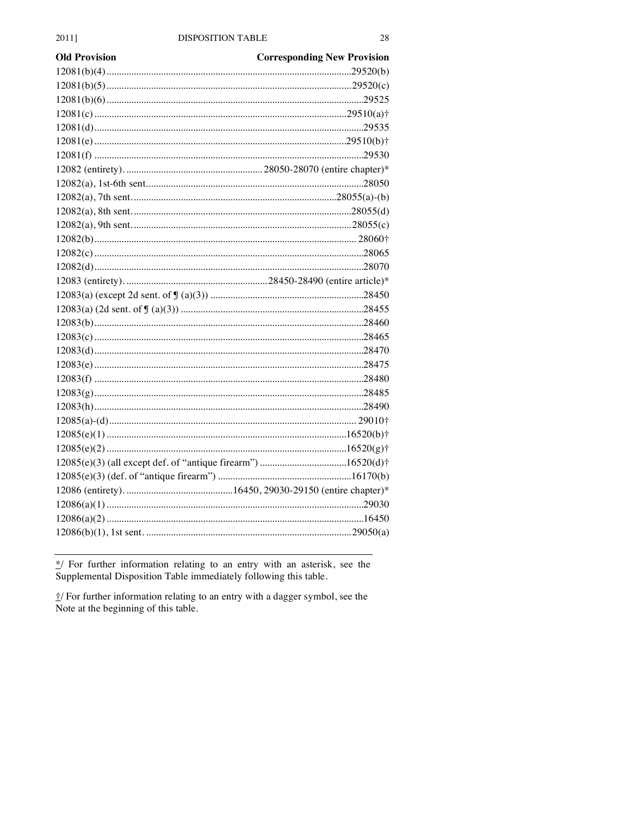| <b>Old Provision</b> | <b>Corresponding New Provision</b> |
|----------------------|------------------------------------|
|                      |                                    |
|                      |                                    |
|                      |                                    |
|                      |                                    |
|                      |                                    |
|                      |                                    |
|                      |                                    |
|                      |                                    |
|                      |                                    |
|                      |                                    |
|                      |                                    |
|                      |                                    |
|                      |                                    |
|                      |                                    |
|                      |                                    |
|                      |                                    |
|                      |                                    |
|                      |                                    |
|                      |                                    |
|                      |                                    |
|                      |                                    |
|                      |                                    |
|                      |                                    |
|                      |                                    |
|                      |                                    |
|                      |                                    |
|                      |                                    |
|                      |                                    |
|                      |                                    |
|                      |                                    |
|                      |                                    |
|                      |                                    |
|                      |                                    |
|                      |                                    |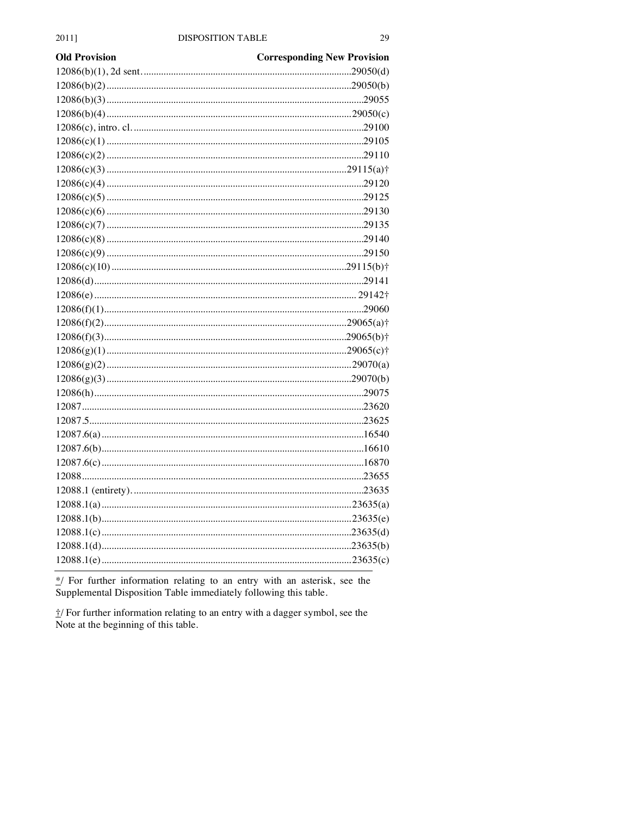| <b>Old Provision</b> | <b>Corresponding New Provision</b> |
|----------------------|------------------------------------|
|                      |                                    |
|                      |                                    |
|                      |                                    |
|                      |                                    |
|                      |                                    |
|                      |                                    |
|                      |                                    |
|                      |                                    |
|                      |                                    |
|                      |                                    |
|                      |                                    |
|                      |                                    |
|                      |                                    |
|                      |                                    |
|                      |                                    |
|                      |                                    |
|                      |                                    |
|                      |                                    |
|                      |                                    |
|                      |                                    |
|                      |                                    |
|                      |                                    |
|                      |                                    |
|                      |                                    |
|                      |                                    |
|                      |                                    |
|                      |                                    |
|                      |                                    |
|                      |                                    |
|                      |                                    |
|                      |                                    |
|                      |                                    |
|                      |                                    |
|                      |                                    |
|                      |                                    |
|                      |                                    |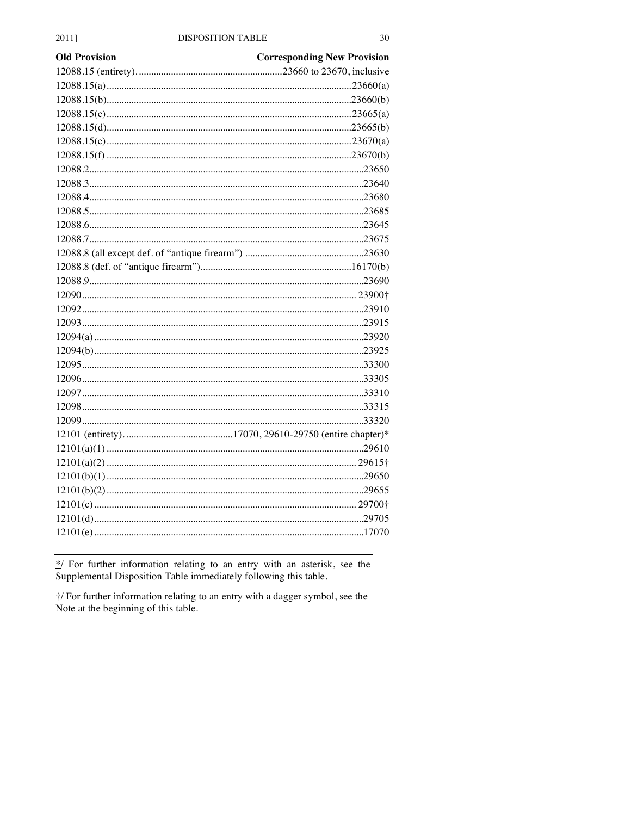| <b>Old Provision</b> | <b>Corresponding New Provision</b> |
|----------------------|------------------------------------|
|                      |                                    |
|                      |                                    |
|                      |                                    |
|                      |                                    |
|                      |                                    |
|                      |                                    |
|                      |                                    |
|                      |                                    |
|                      |                                    |
|                      |                                    |
|                      |                                    |
|                      |                                    |
|                      |                                    |
|                      |                                    |
|                      |                                    |
|                      |                                    |
|                      |                                    |
|                      |                                    |
|                      |                                    |
|                      |                                    |
|                      |                                    |
|                      |                                    |
|                      |                                    |
|                      |                                    |
|                      |                                    |
|                      |                                    |
|                      |                                    |
|                      |                                    |
|                      |                                    |
|                      |                                    |
|                      |                                    |
|                      |                                    |
|                      |                                    |
|                      |                                    |
|                      |                                    |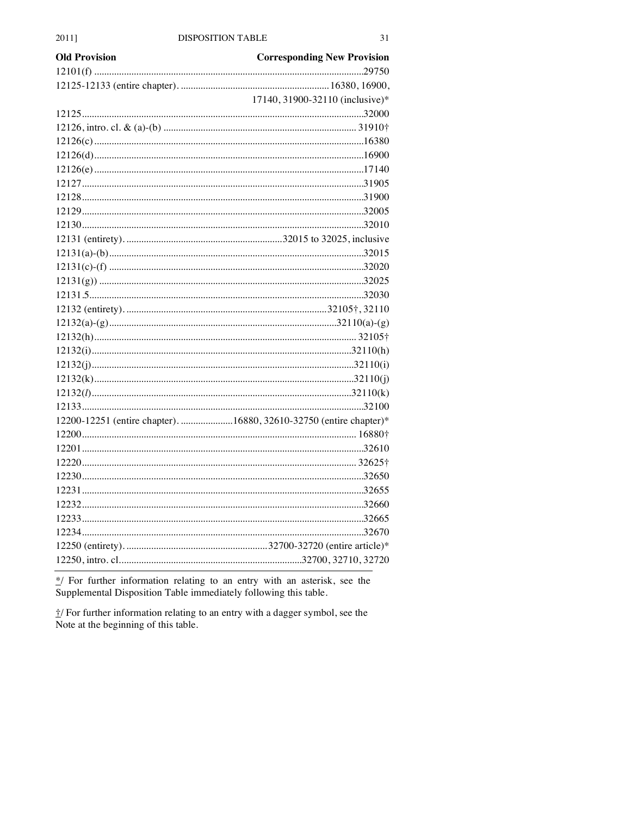| <b>Old Provision</b> | <b>Corresponding New Provision</b>                                 |
|----------------------|--------------------------------------------------------------------|
|                      |                                                                    |
|                      |                                                                    |
|                      | 17140, 31900-32110 (inclusive)*                                    |
|                      |                                                                    |
|                      |                                                                    |
|                      |                                                                    |
|                      |                                                                    |
|                      |                                                                    |
|                      |                                                                    |
|                      |                                                                    |
|                      |                                                                    |
|                      |                                                                    |
|                      |                                                                    |
|                      |                                                                    |
|                      |                                                                    |
|                      |                                                                    |
|                      |                                                                    |
|                      |                                                                    |
|                      |                                                                    |
|                      |                                                                    |
|                      |                                                                    |
|                      |                                                                    |
|                      |                                                                    |
|                      |                                                                    |
|                      |                                                                    |
|                      | 12200-12251 (entire chapter). 16880, 32610-32750 (entire chapter)* |
|                      |                                                                    |
|                      |                                                                    |
|                      |                                                                    |
|                      |                                                                    |
|                      |                                                                    |
|                      |                                                                    |
|                      |                                                                    |
|                      |                                                                    |
|                      |                                                                    |
|                      |                                                                    |
|                      |                                                                    |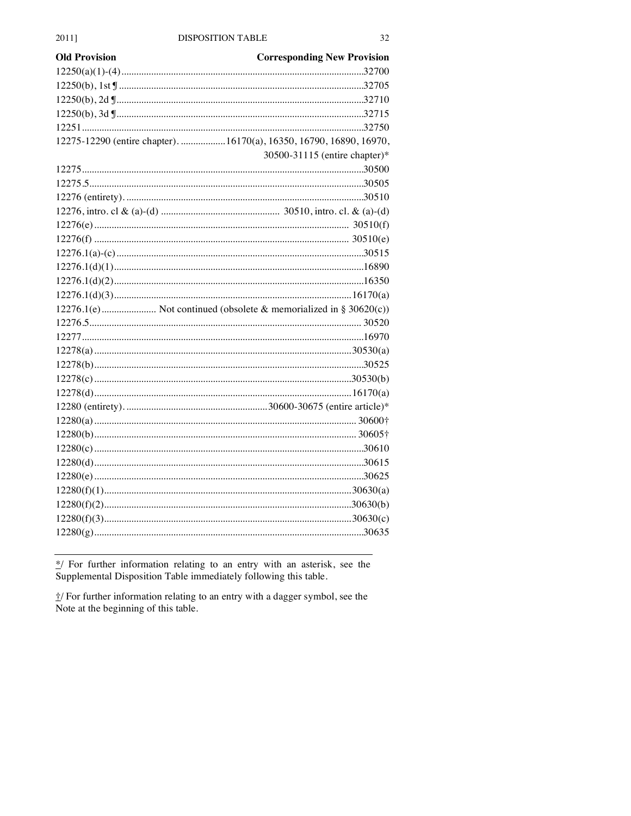| <b>Old Provision</b> | <b>Corresponding New Provision</b>                                  |
|----------------------|---------------------------------------------------------------------|
|                      |                                                                     |
|                      |                                                                     |
|                      |                                                                     |
|                      |                                                                     |
|                      |                                                                     |
|                      | 12275-12290 (entire chapter). 16170(a), 16350, 16790, 16890, 16970, |
|                      | 30500-31115 (entire chapter)*                                       |
|                      |                                                                     |
|                      |                                                                     |
|                      |                                                                     |
|                      |                                                                     |
|                      |                                                                     |
|                      |                                                                     |
|                      |                                                                     |
|                      |                                                                     |
|                      |                                                                     |
|                      |                                                                     |
|                      | 12276.1(e) Not continued (obsolete & memorialized in § 30620(c))    |
|                      |                                                                     |
|                      |                                                                     |
|                      |                                                                     |
|                      |                                                                     |
|                      |                                                                     |
|                      |                                                                     |
|                      |                                                                     |
|                      |                                                                     |
|                      |                                                                     |
|                      |                                                                     |
|                      |                                                                     |
|                      |                                                                     |
|                      |                                                                     |
|                      |                                                                     |
|                      |                                                                     |
|                      |                                                                     |
|                      |                                                                     |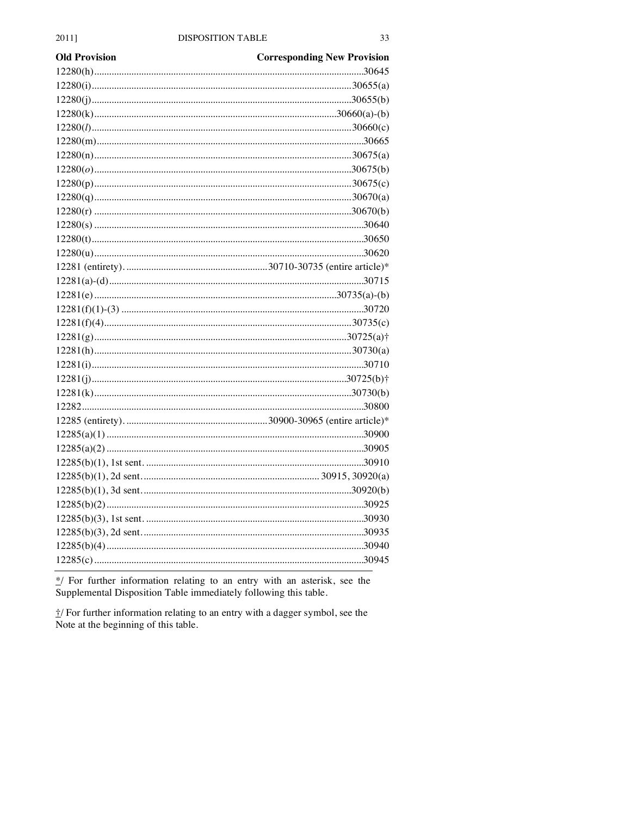| <b>Old Provision</b> | <b>Corresponding New Provision</b> |
|----------------------|------------------------------------|
|                      |                                    |
|                      |                                    |
|                      |                                    |
|                      |                                    |
|                      |                                    |
|                      |                                    |
|                      |                                    |
|                      |                                    |
|                      |                                    |
|                      |                                    |
|                      |                                    |
|                      |                                    |
|                      |                                    |
|                      |                                    |
|                      |                                    |
|                      |                                    |
|                      |                                    |
|                      |                                    |
|                      |                                    |
|                      |                                    |
|                      |                                    |
|                      |                                    |
|                      |                                    |
|                      |                                    |
|                      |                                    |
|                      |                                    |
|                      |                                    |
|                      |                                    |
|                      |                                    |
|                      |                                    |
|                      |                                    |
|                      |                                    |
|                      |                                    |
|                      |                                    |
|                      |                                    |
|                      |                                    |
|                      |                                    |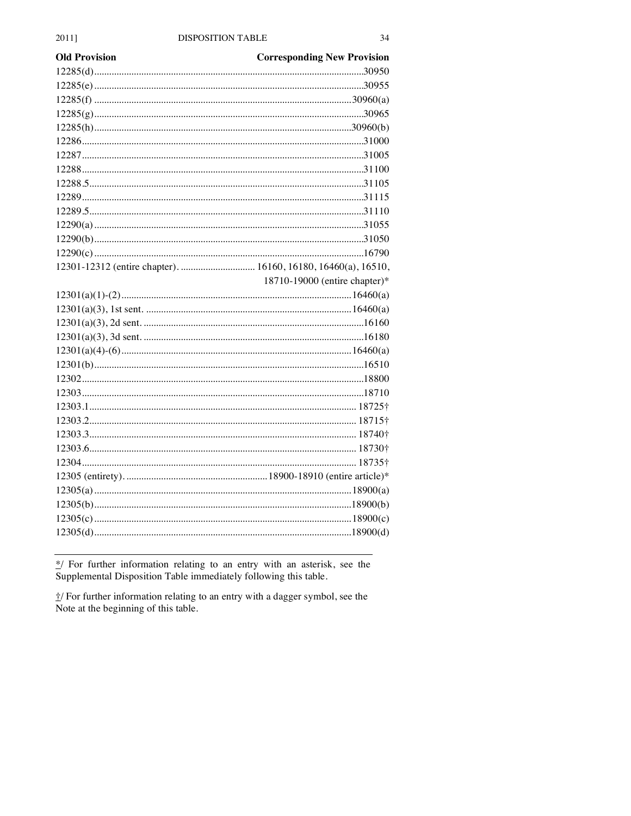| 2011]                |  |
|----------------------|--|
| <b>Old Provision</b> |  |
|                      |  |
|                      |  |
|                      |  |
|                      |  |

| 18710-19000 (entire chapter)* |
|-------------------------------|
|                               |
|                               |
|                               |
|                               |
|                               |
|                               |
|                               |
|                               |
|                               |
|                               |
|                               |
|                               |
|                               |
|                               |
|                               |
|                               |
|                               |
|                               |
|                               |

\*/ For further information relating to an entry with an asterisk, see the Supplemental Disposition Table immediately following this table.

i/ For further information relating to an entry with a dagger symbol, see the Note at the beginning of this table.

**Corresponding New Provision**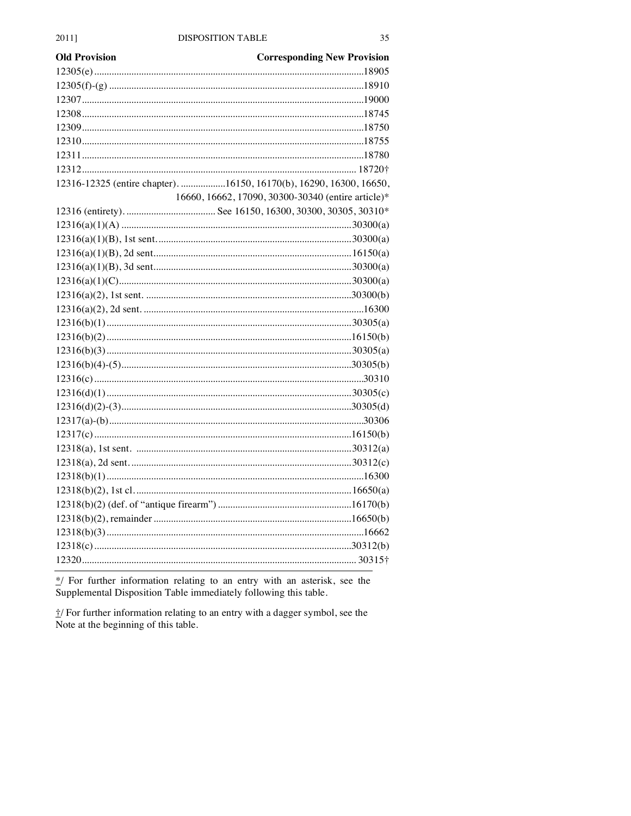| <b>Corresponding New Provision</b>                                  |
|---------------------------------------------------------------------|
|                                                                     |
|                                                                     |
|                                                                     |
|                                                                     |
|                                                                     |
|                                                                     |
|                                                                     |
|                                                                     |
| 12316-12325 (entire chapter). 16150, 16170(b), 16290, 16300, 16650, |
| 16660, 16662, 17090, 30300-30340 (entire article)*                  |
|                                                                     |
|                                                                     |
|                                                                     |
|                                                                     |
|                                                                     |
|                                                                     |
|                                                                     |
|                                                                     |
|                                                                     |
|                                                                     |
|                                                                     |
|                                                                     |
|                                                                     |
|                                                                     |
|                                                                     |
|                                                                     |
|                                                                     |
|                                                                     |
|                                                                     |
|                                                                     |
|                                                                     |
|                                                                     |
|                                                                     |
|                                                                     |
|                                                                     |
|                                                                     |
|                                                                     |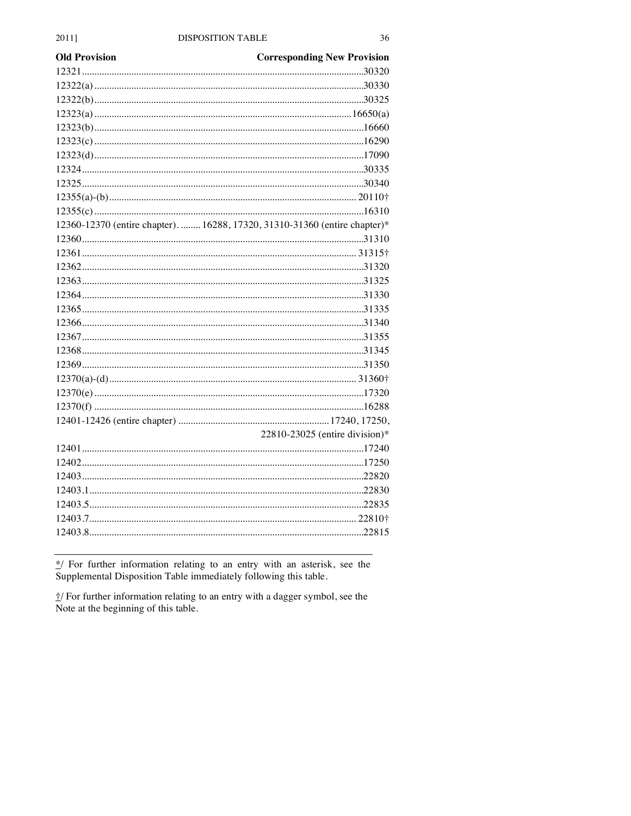| <b>Old Provision</b> | <b>Corresponding New Provision</b>                                         |
|----------------------|----------------------------------------------------------------------------|
|                      |                                                                            |
|                      |                                                                            |
|                      |                                                                            |
|                      |                                                                            |
|                      |                                                                            |
|                      |                                                                            |
|                      |                                                                            |
|                      |                                                                            |
|                      |                                                                            |
|                      |                                                                            |
|                      |                                                                            |
|                      | 12360-12370 (entire chapter).  16288, 17320, 31310-31360 (entire chapter)* |
|                      |                                                                            |
|                      |                                                                            |
|                      |                                                                            |
|                      |                                                                            |
|                      |                                                                            |
|                      |                                                                            |
|                      |                                                                            |
|                      |                                                                            |
|                      |                                                                            |
|                      |                                                                            |
|                      |                                                                            |
|                      |                                                                            |
|                      |                                                                            |
|                      |                                                                            |
|                      | 22810-23025 (entire division)*                                             |
|                      |                                                                            |
|                      |                                                                            |
|                      |                                                                            |
|                      |                                                                            |
|                      |                                                                            |
|                      |                                                                            |
|                      |                                                                            |
|                      |                                                                            |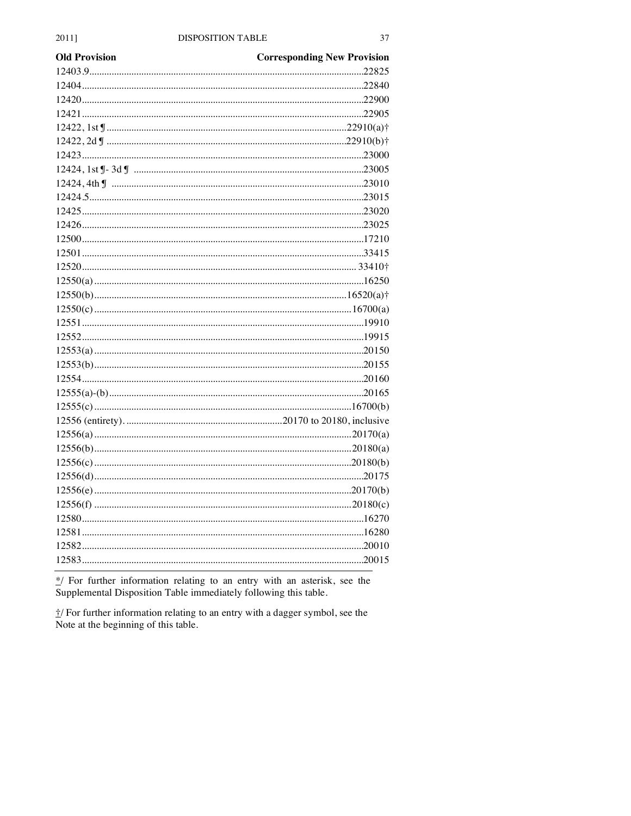| <b>Old Provision</b> | <b>Corresponding New Provision</b> |
|----------------------|------------------------------------|
|                      |                                    |
|                      |                                    |
|                      |                                    |
|                      |                                    |
|                      |                                    |
|                      |                                    |
|                      |                                    |
|                      |                                    |
|                      |                                    |
|                      |                                    |
|                      |                                    |
|                      |                                    |
|                      |                                    |
|                      |                                    |
|                      |                                    |
|                      |                                    |
|                      |                                    |
|                      |                                    |
|                      |                                    |
|                      |                                    |
|                      |                                    |
|                      |                                    |
|                      |                                    |
|                      |                                    |
|                      |                                    |
|                      |                                    |
|                      |                                    |
|                      |                                    |
|                      |                                    |
|                      |                                    |
|                      |                                    |
|                      |                                    |
|                      |                                    |
|                      |                                    |
|                      |                                    |
|                      |                                    |
|                      |                                    |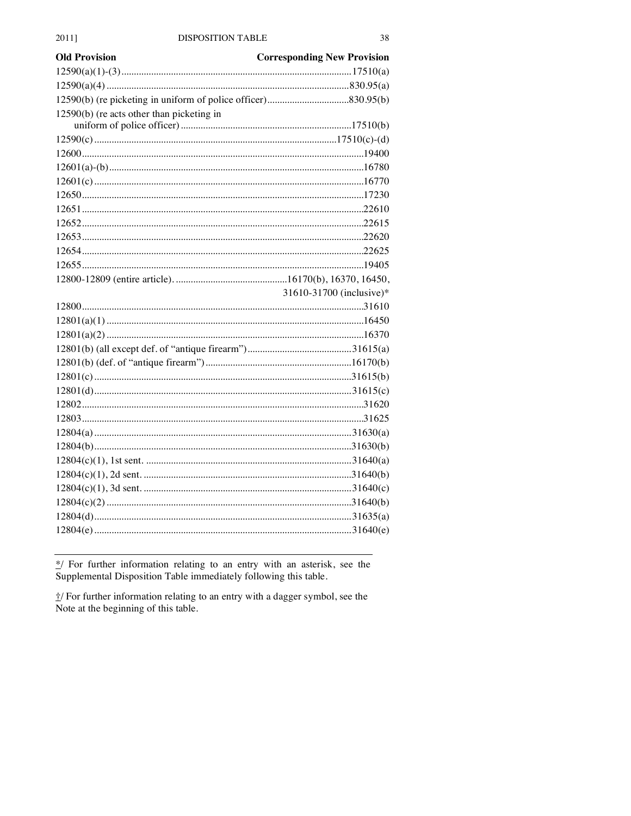| <b>Old Provision</b>                      | <b>Corresponding New Provision</b> |
|-------------------------------------------|------------------------------------|
|                                           |                                    |
|                                           |                                    |
|                                           |                                    |
| 12590(b) (re acts other than picketing in |                                    |
|                                           |                                    |
|                                           |                                    |
|                                           |                                    |
|                                           |                                    |
|                                           |                                    |
|                                           |                                    |
|                                           |                                    |
|                                           |                                    |
|                                           |                                    |
|                                           |                                    |
|                                           |                                    |
|                                           | 31610-31700 (inclusive)*           |
|                                           |                                    |
|                                           |                                    |
|                                           |                                    |
|                                           |                                    |
|                                           |                                    |
|                                           |                                    |
|                                           |                                    |
|                                           |                                    |
|                                           |                                    |
|                                           |                                    |
|                                           |                                    |
|                                           |                                    |
|                                           |                                    |
|                                           |                                    |
|                                           |                                    |
|                                           |                                    |
|                                           |                                    |
|                                           |                                    |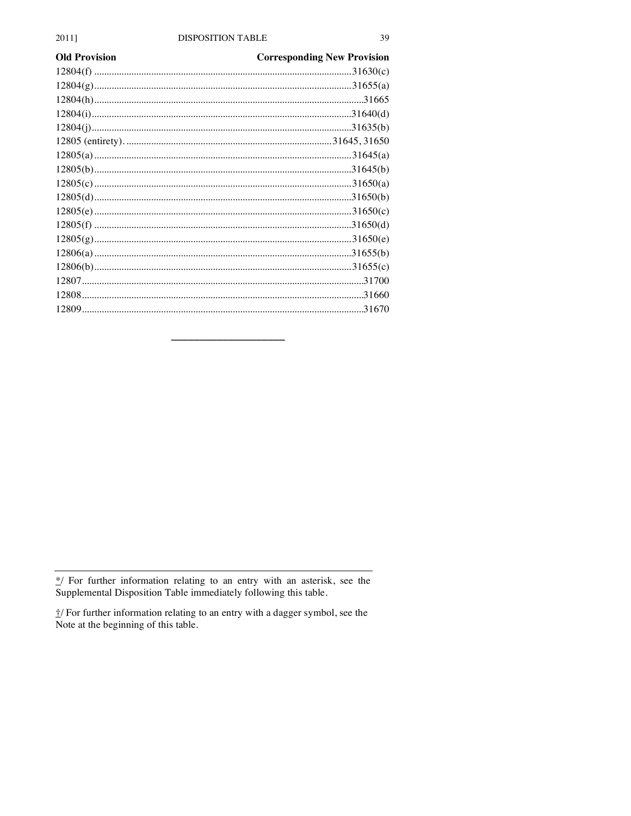| <b>Old Provision</b> | <b>Corresponding New Provision</b> |
|----------------------|------------------------------------|
|                      |                                    |
|                      |                                    |
|                      |                                    |
|                      |                                    |
|                      |                                    |
|                      |                                    |
|                      |                                    |
|                      |                                    |
|                      |                                    |
|                      |                                    |
|                      |                                    |
|                      |                                    |
|                      |                                    |
|                      |                                    |
|                      |                                    |
|                      |                                    |
|                      |                                    |
|                      |                                    |
|                      |                                    |

 $\frac{*}{'}$  For further information relating to an entry with an asterisk, see the Supplemental Disposition Table immediately following this table.

 $\frac{1}{2}$  For further information relating to an entry with a dagger symbol, see the Note at the beginning of this table.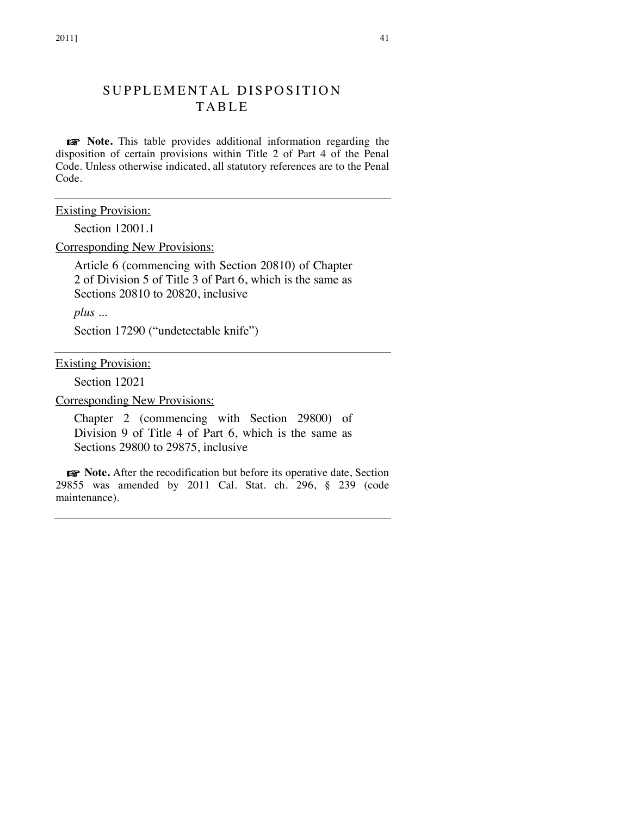# SUPPLEMENTAL DISPOSITION TABLE

☞ **Note.** This table provides additional information regarding the disposition of certain provisions within Title 2 of Part 4 of the Penal Code. Unless otherwise indicated, all statutory references are to the Penal Code.

Existing Provision:

Section 12001.1

Corresponding New Provisions:

Article 6 (commencing with Section 20810) of Chapter 2 of Division 5 of Title 3 of Part 6, which is the same as Sections 20810 to 20820, inclusive

*plus ...*

Section 17290 ("undetectable knife")

Existing Provision:

Section 12021

Corresponding New Provisions:

Chapter 2 (commencing with Section 29800) of Division 9 of Title 4 of Part 6, which is the same as Sections 29800 to 29875, inclusive

☞ **Note.** After the recodification but before its operative date, Section 29855 was amended by 2011 Cal. Stat. ch. 296, § 239 (code maintenance).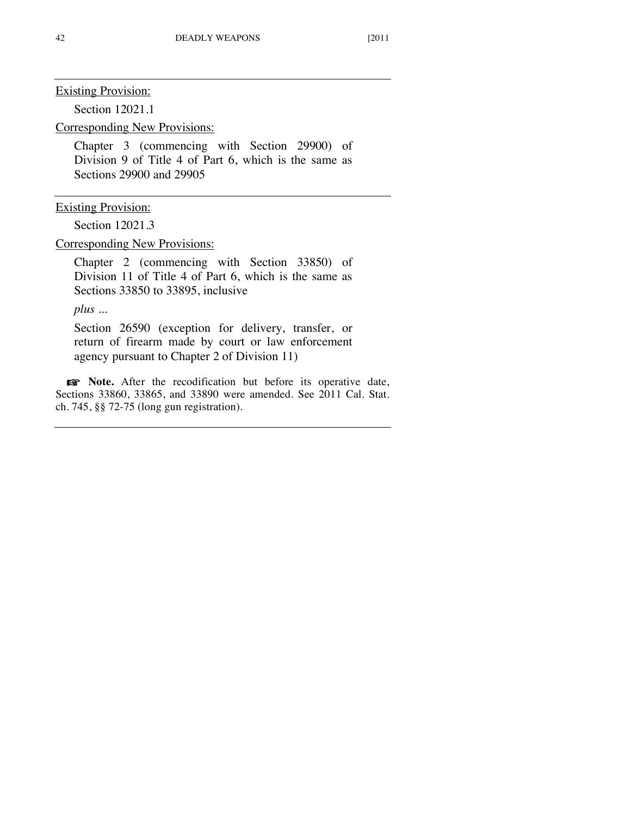Section 12021.1

Corresponding New Provisions:

Chapter 3 (commencing with Section 29900) of Division 9 of Title 4 of Part 6, which is the same as Sections 29900 and 29905

Existing Provision:

Section 12021.3

Corresponding New Provisions:

Chapter 2 (commencing with Section 33850) of Division 11 of Title 4 of Part 6, which is the same as Sections 33850 to 33895, inclusive

*plus ...*

Section 26590 (exception for delivery, transfer, or return of firearm made by court or law enforcement agency pursuant to Chapter 2 of Division 11)

☞ **Note.** After the recodification but before its operative date, Sections 33860, 33865, and 33890 were amended. See 2011 Cal. Stat. ch. 745, §§ 72-75 (long gun registration).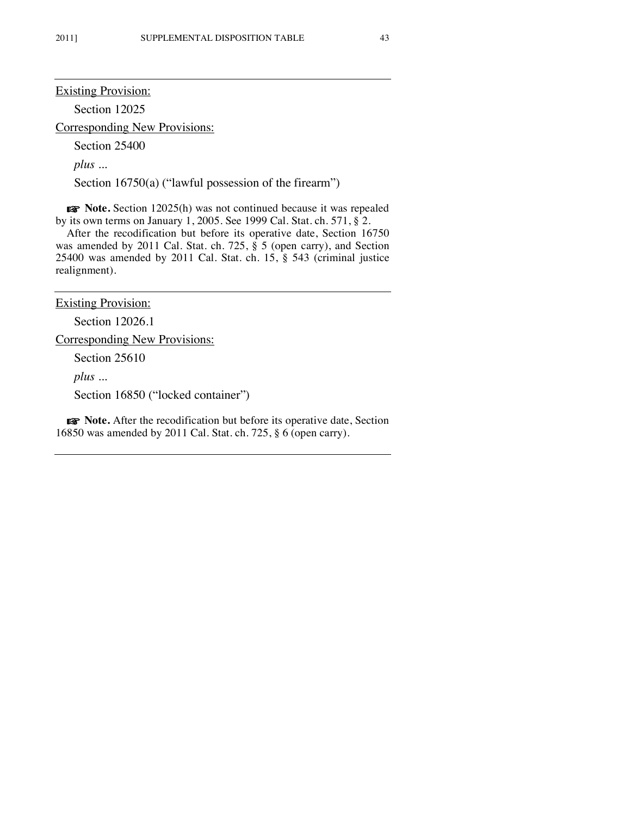Section 12025

Corresponding New Provisions:

Section 25400

*plus ...*

Section 16750(a) ("lawful possession of the firearm")

☞ **Note.** Section 12025(h) was not continued because it was repealed by its own terms on January 1, 2005. See 1999 Cal. Stat. ch. 571, § 2.

After the recodification but before its operative date, Section 16750 was amended by 2011 Cal. Stat. ch. 725, § 5 (open carry), and Section 25400 was amended by 2011 Cal. Stat. ch. 15, § 543 (criminal justice realignment).

Existing Provision:

Section 12026.1

Corresponding New Provisions:

Section 25610

*plus ...*

Section 16850 ("locked container")

☞ **Note.** After the recodification but before its operative date, Section 16850 was amended by 2011 Cal. Stat. ch. 725, § 6 (open carry).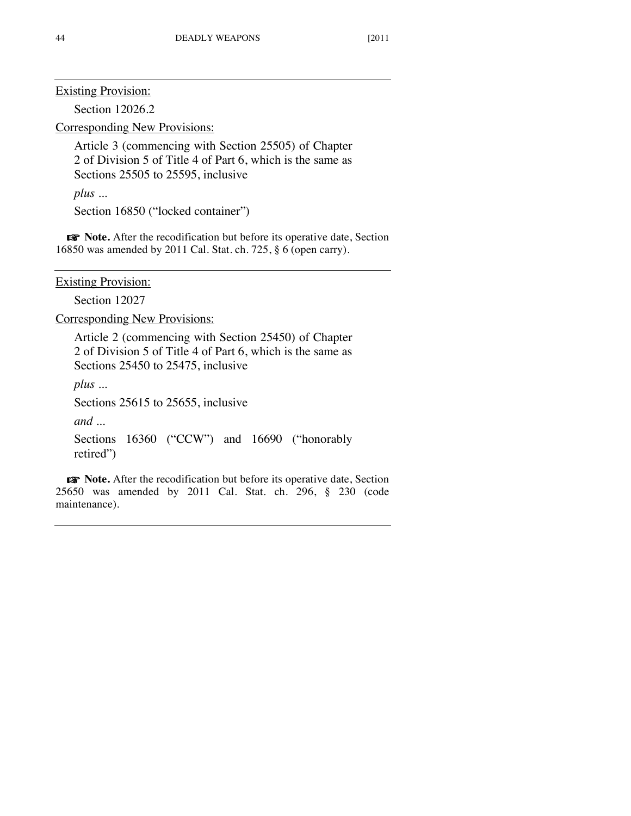Section 12026.2

Corresponding New Provisions:

Article 3 (commencing with Section 25505) of Chapter 2 of Division 5 of Title 4 of Part 6, which is the same as Sections 25505 to 25595, inclusive

*plus ...*

Section 16850 ("locked container")

☞ **Note.** After the recodification but before its operative date, Section 16850 was amended by 2011 Cal. Stat. ch. 725, § 6 (open carry).

Existing Provision:

Section 12027

Corresponding New Provisions:

Article 2 (commencing with Section 25450) of Chapter 2 of Division 5 of Title 4 of Part 6, which is the same as Sections 25450 to 25475, inclusive

*plus ...*

Sections 25615 to 25655, inclusive

*and ...*

```
Sections 16360 ("CCW") and 16690 ("honorably
retired")
```
☞ **Note.** After the recodification but before its operative date, Section 25650 was amended by 2011 Cal. Stat. ch. 296, § 230 (code maintenance).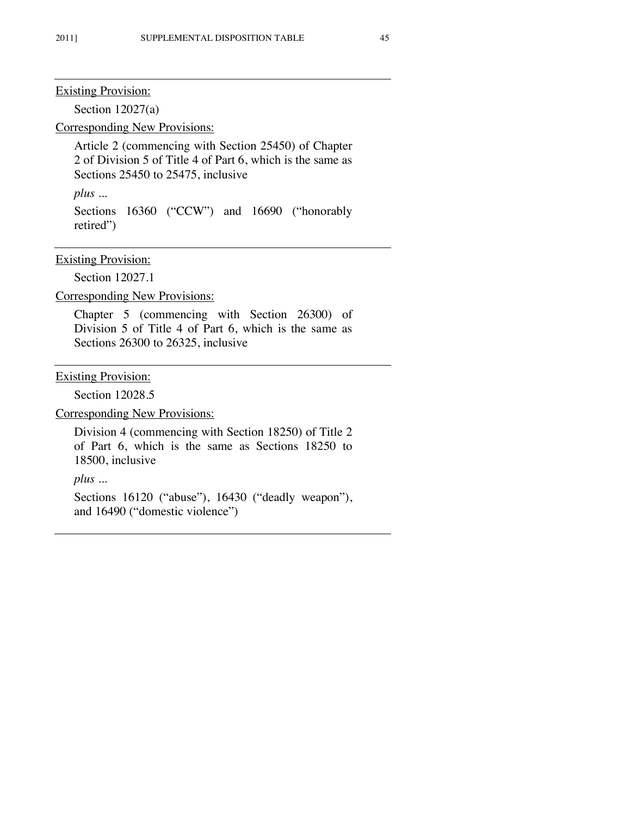Section 12027(a)

Corresponding New Provisions:

Article 2 (commencing with Section 25450) of Chapter 2 of Division 5 of Title 4 of Part 6, which is the same as Sections 25450 to 25475, inclusive

*plus ...*

Sections 16360 ("CCW") and 16690 ("honorably retired")

## Existing Provision:

Section 12027.1

Corresponding New Provisions:

Chapter 5 (commencing with Section 26300) of Division 5 of Title 4 of Part 6, which is the same as Sections 26300 to 26325, inclusive

Existing Provision:

Section 12028.5

Corresponding New Provisions:

Division 4 (commencing with Section 18250) of Title 2 of Part 6, which is the same as Sections 18250 to 18500, inclusive

*plus ...*

Sections 16120 ("abuse"), 16430 ("deadly weapon"), and 16490 ("domestic violence")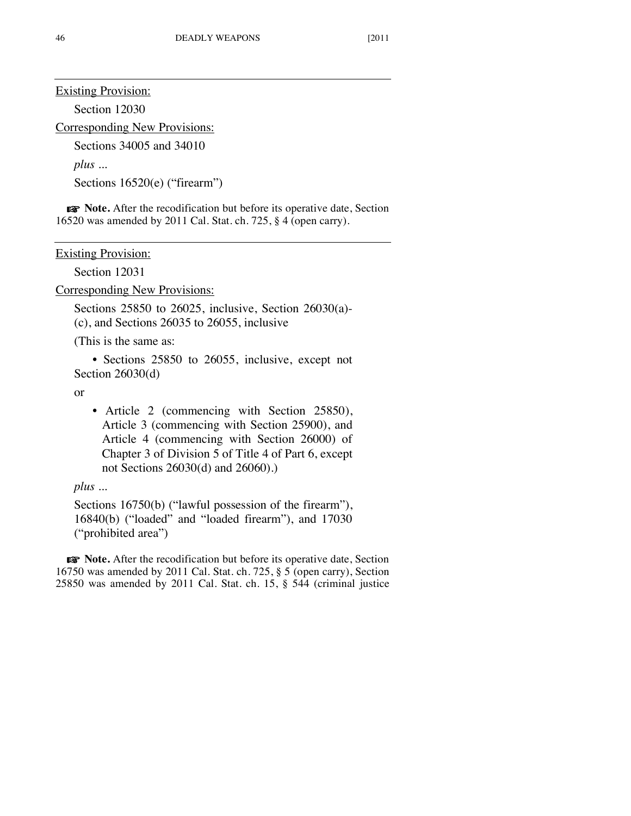Section 12030

Corresponding New Provisions:

Sections 34005 and 34010

*plus ...*

Sections 16520(e) ("firearm")

☞ **Note.** After the recodification but before its operative date, Section 16520 was amended by 2011 Cal. Stat. ch. 725, § 4 (open carry).

Existing Provision:

Section 12031

Corresponding New Provisions:

Sections 25850 to 26025, inclusive, Section 26030(a)- (c), and Sections 26035 to 26055, inclusive

(This is the same as:

• Sections 25850 to 26055, inclusive, except not Section 26030(d)

or

• Article 2 (commencing with Section 25850), Article 3 (commencing with Section 25900), and Article 4 (commencing with Section 26000) of Chapter 3 of Division 5 of Title 4 of Part 6, except not Sections 26030(d) and 26060).)

*plus ...*

Sections 16750(b) ("lawful possession of the firearm"), 16840(b) ("loaded" and "loaded firearm"), and 17030 ("prohibited area")

☞ **Note.** After the recodification but before its operative date, Section 16750 was amended by 2011 Cal. Stat. ch. 725, § 5 (open carry), Section 25850 was amended by 2011 Cal. Stat. ch. 15, § 544 (criminal justice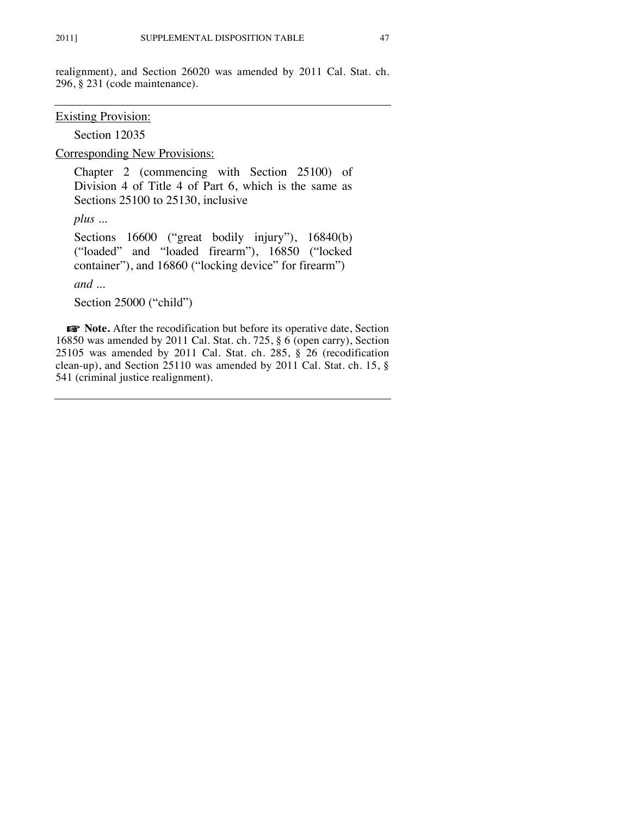realignment), and Section 26020 was amended by 2011 Cal. Stat. ch. 296, § 231 (code maintenance).

Existing Provision:

Section 12035

Corresponding New Provisions:

Chapter 2 (commencing with Section 25100) of Division 4 of Title 4 of Part 6, which is the same as Sections 25100 to 25130, inclusive

*plus ...*

Sections 16600 ("great bodily injury"), 16840(b) ("loaded" and "loaded firearm"), 16850 ("locked container"), and 16860 ("locking device" for firearm")

*and ...*

Section 25000 ("child")

☞ **Note.** After the recodification but before its operative date, Section 16850 was amended by 2011 Cal. Stat. ch. 725, § 6 (open carry), Section 25105 was amended by 2011 Cal. Stat. ch. 285, § 26 (recodification clean-up), and Section 25110 was amended by 2011 Cal. Stat. ch. 15, § 541 (criminal justice realignment).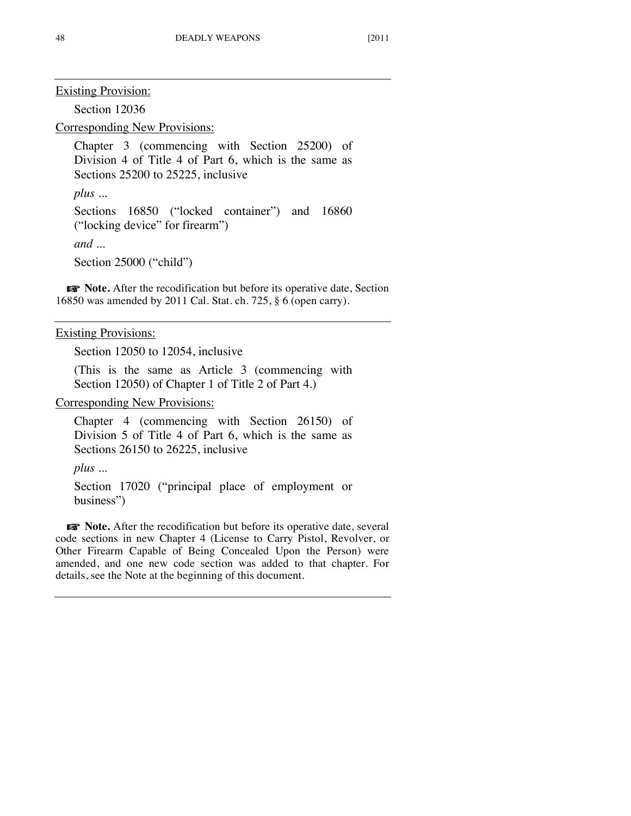Section 12036

Corresponding New Provisions:

Chapter 3 (commencing with Section 25200) of Division 4 of Title 4 of Part 6, which is the same as Sections 25200 to 25225, inclusive

*plus ...*

Sections 16850 ("locked container") and 16860 ("locking device" for firearm")

*and ...*

Section 25000 ("child")

☞ **Note.** After the recodification but before its operative date, Section 16850 was amended by 2011 Cal. Stat. ch. 725, § 6 (open carry).

Existing Provisions:

Section 12050 to 12054, inclusive

(This is the same as Article 3 (commencing with Section 12050) of Chapter 1 of Title 2 of Part 4.)

Corresponding New Provisions:

Chapter 4 (commencing with Section 26150) of Division 5 of Title 4 of Part 6, which is the same as Sections 26150 to 26225, inclusive

*plus ...*

Section 17020 ("principal place of employment or business")

☞ **Note.** After the recodification but before its operative date, several code sections in new Chapter 4 (License to Carry Pistol, Revolver, or Other Firearm Capable of Being Concealed Upon the Person) were amended, and one new code section was added to that chapter. For details, see the Note at the beginning of this document.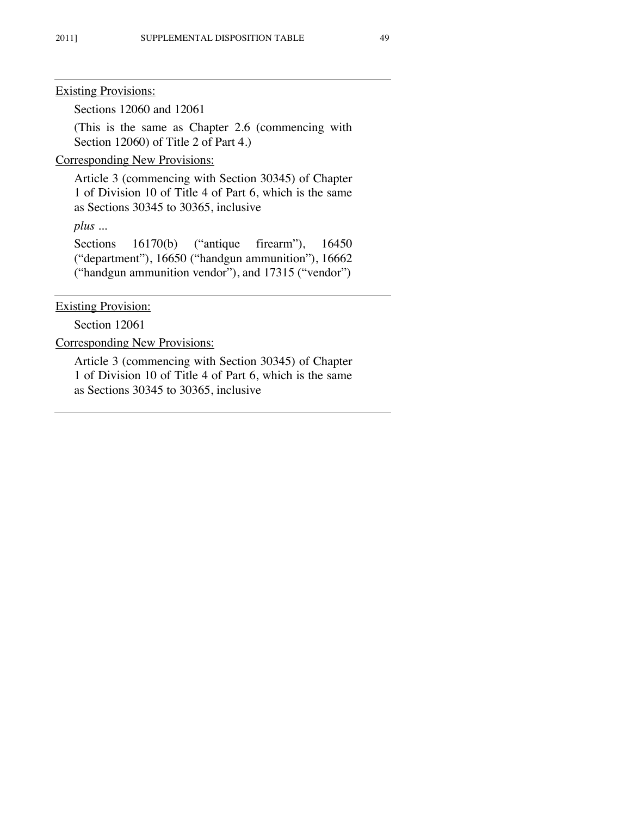Sections 12060 and 12061

(This is the same as Chapter 2.6 (commencing with Section 12060) of Title 2 of Part 4.)

Corresponding New Provisions:

Article 3 (commencing with Section 30345) of Chapter 1 of Division 10 of Title 4 of Part 6, which is the same as Sections 30345 to 30365, inclusive

*plus ...*

Sections 16170(b) ("antique firearm"), 16450 ("department"), 16650 ("handgun ammunition"), 16662 ("handgun ammunition vendor"), and 17315 ("vendor")

**Existing Provision:** 

Section 12061

Corresponding New Provisions:

Article 3 (commencing with Section 30345) of Chapter 1 of Division 10 of Title 4 of Part 6, which is the same as Sections 30345 to 30365, inclusive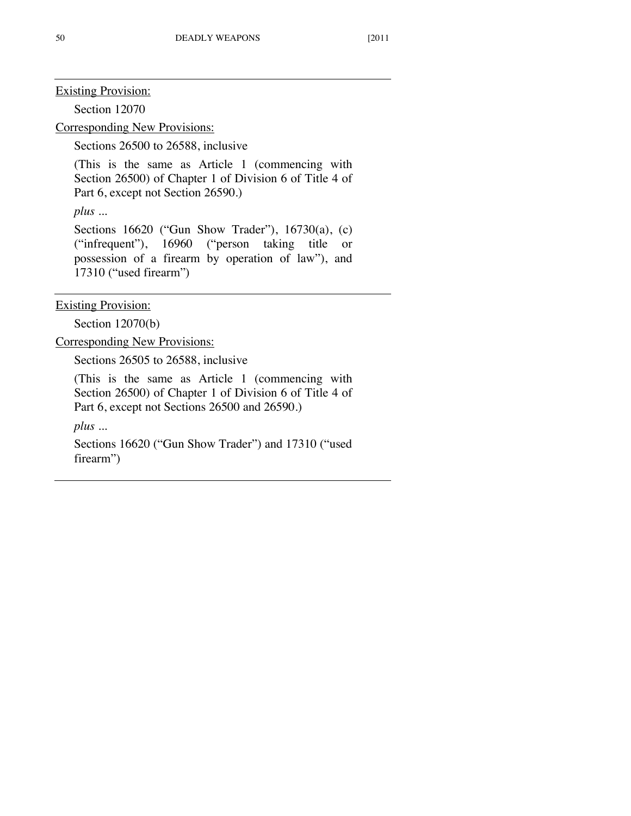Section 12070

Corresponding New Provisions:

Sections 26500 to 26588, inclusive

(This is the same as Article 1 (commencing with Section 26500) of Chapter 1 of Division 6 of Title 4 of Part 6, except not Section 26590.)

*plus ...*

Sections 16620 ("Gun Show Trader"), 16730(a), (c) ("infrequent"), 16960 ("person taking title or possession of a firearm by operation of law"), and 17310 ("used firearm")

Existing Provision:

Section 12070(b)

Corresponding New Provisions:

Sections 26505 to 26588, inclusive

(This is the same as Article 1 (commencing with Section 26500) of Chapter 1 of Division 6 of Title 4 of Part 6, except not Sections 26500 and 26590.)

*plus ...*

Sections 16620 ("Gun Show Trader") and 17310 ("used firearm")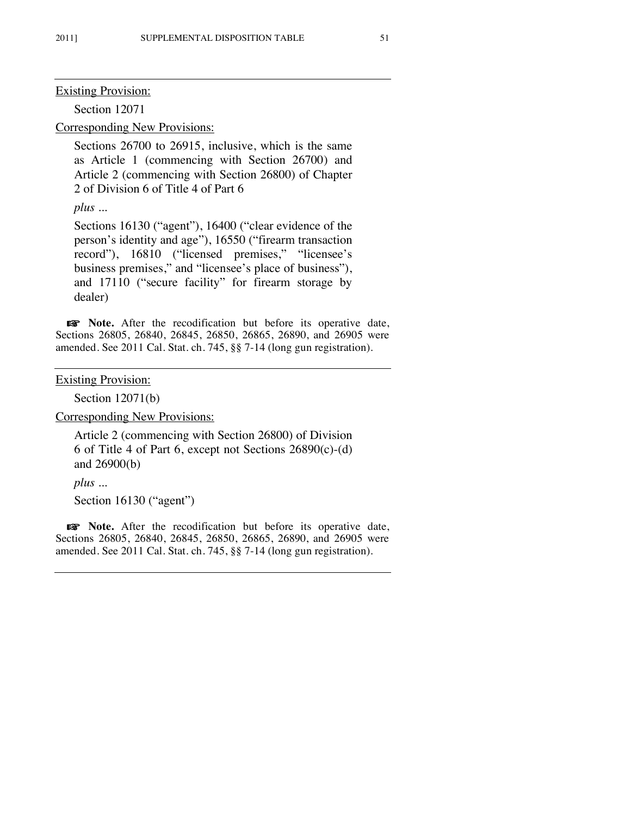Section 12071

Corresponding New Provisions:

Sections 26700 to 26915, inclusive, which is the same as Article 1 (commencing with Section 26700) and Article 2 (commencing with Section 26800) of Chapter 2 of Division 6 of Title 4 of Part 6

*plus ...*

Sections 16130 ("agent"), 16400 ("clear evidence of the person's identity and age"), 16550 ("firearm transaction record"), 16810 ("licensed premises," "licensee's business premises," and "licensee's place of business"), and 17110 ("secure facility" for firearm storage by dealer)

☞ **Note.** After the recodification but before its operative date, Sections 26805, 26840, 26845, 26850, 26865, 26890, and 26905 were amended. See 2011 Cal. Stat. ch. 745, §§ 7-14 (long gun registration).

Existing Provision:

Section 12071(b)

Corresponding New Provisions:

Article 2 (commencing with Section 26800) of Division 6 of Title 4 of Part 6, except not Sections 26890(c)-(d) and 26900(b)

*plus ...*

Section 16130 ("agent")

☞ **Note.** After the recodification but before its operative date, Sections 26805, 26840, 26845, 26850, 26865, 26890, and 26905 were amended. See 2011 Cal. Stat. ch. 745, §§ 7-14 (long gun registration).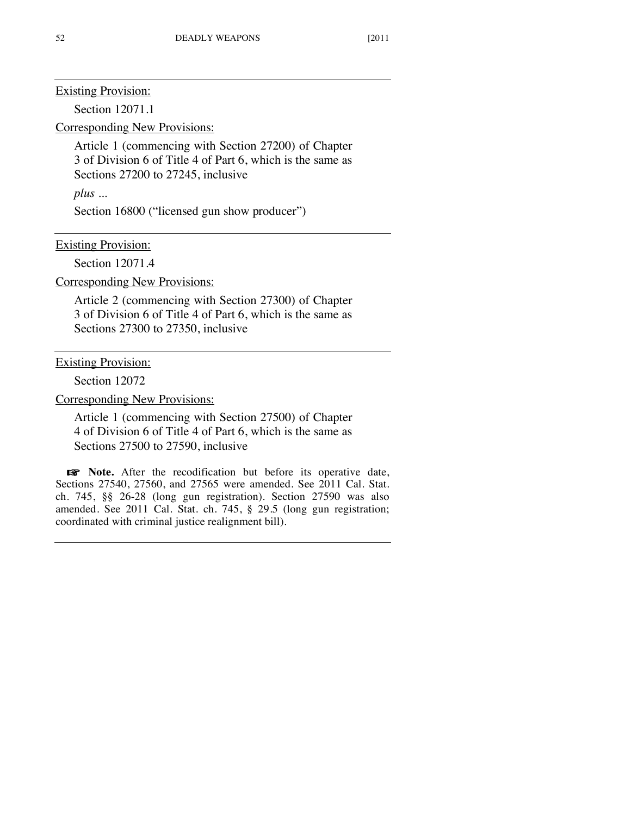Section 12071.1

Corresponding New Provisions:

Article 1 (commencing with Section 27200) of Chapter 3 of Division 6 of Title 4 of Part 6, which is the same as Sections 27200 to 27245, inclusive

*plus ...*

Section 16800 ("licensed gun show producer")

Existing Provision:

Section 12071.4

Corresponding New Provisions:

Article 2 (commencing with Section 27300) of Chapter 3 of Division 6 of Title 4 of Part 6, which is the same as Sections 27300 to 27350, inclusive

Existing Provision:

Section 12072

Corresponding New Provisions:

Article 1 (commencing with Section 27500) of Chapter 4 of Division 6 of Title 4 of Part 6, which is the same as Sections 27500 to 27590, inclusive

☞ **Note.** After the recodification but before its operative date, Sections 27540, 27560, and 27565 were amended. See 2011 Cal. Stat. ch. 745, §§ 26-28 (long gun registration). Section 27590 was also amended. See 2011 Cal. Stat. ch. 745, § 29.5 (long gun registration; coordinated with criminal justice realignment bill).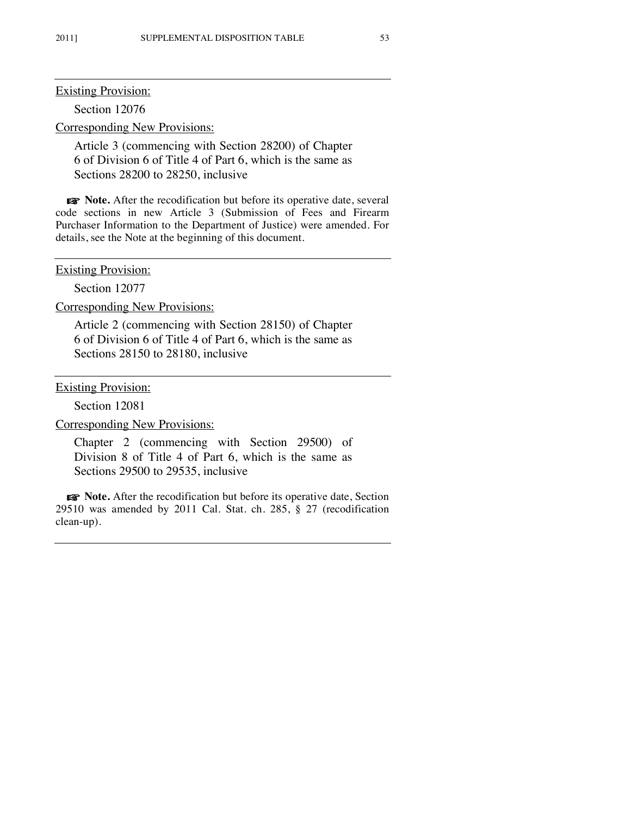Section 12076

Corresponding New Provisions:

Article 3 (commencing with Section 28200) of Chapter 6 of Division 6 of Title 4 of Part 6, which is the same as Sections 28200 to 28250, inclusive

☞ **Note.** After the recodification but before its operative date, several code sections in new Article 3 (Submission of Fees and Firearm Purchaser Information to the Department of Justice) were amended. For details, see the Note at the beginning of this document.

**Existing Provision:** 

Section 12077

Corresponding New Provisions:

Article 2 (commencing with Section 28150) of Chapter 6 of Division 6 of Title 4 of Part 6, which is the same as Sections 28150 to 28180, inclusive

Existing Provision:

Section 12081

Corresponding New Provisions:

Chapter 2 (commencing with Section 29500) of Division 8 of Title 4 of Part 6, which is the same as Sections 29500 to 29535, inclusive

☞ **Note.** After the recodification but before its operative date, Section 29510 was amended by 2011 Cal. Stat. ch. 285, § 27 (recodification clean-up).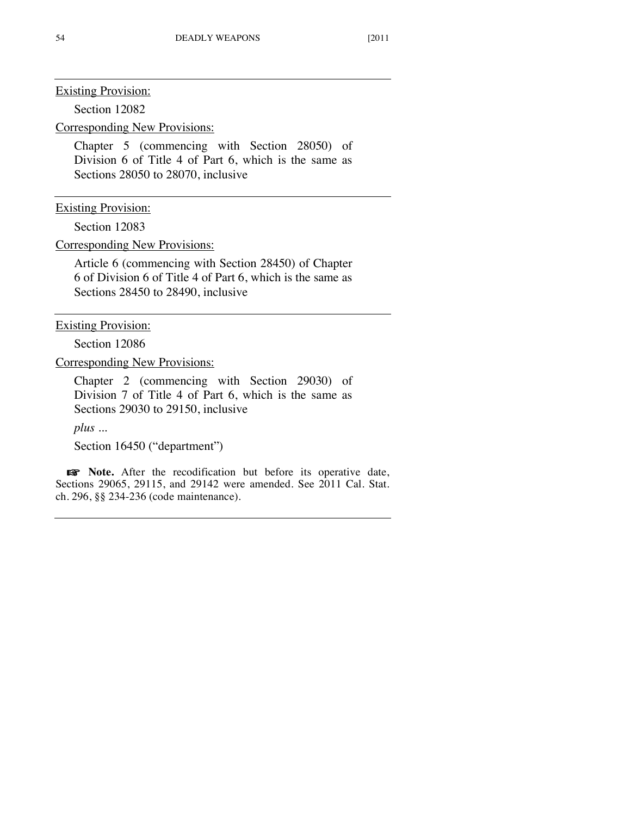Section 12082

Corresponding New Provisions:

Chapter 5 (commencing with Section 28050) of Division 6 of Title 4 of Part 6, which is the same as Sections 28050 to 28070, inclusive

Existing Provision:

Section 12083

Corresponding New Provisions:

Article 6 (commencing with Section 28450) of Chapter 6 of Division 6 of Title 4 of Part 6, which is the same as Sections 28450 to 28490, inclusive

Existing Provision:

Section 12086

Corresponding New Provisions:

Chapter 2 (commencing with Section 29030) of Division 7 of Title 4 of Part 6, which is the same as Sections 29030 to 29150, inclusive

*plus ...*

Section 16450 ("department")

☞ **Note.** After the recodification but before its operative date, Sections 29065, 29115, and 29142 were amended. See 2011 Cal. Stat. ch. 296, §§ 234-236 (code maintenance).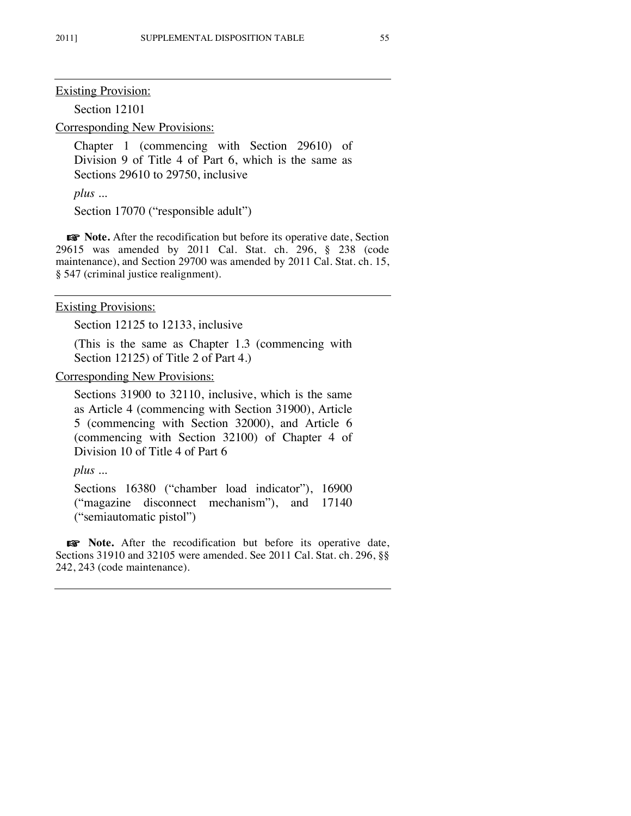Section 12101

Corresponding New Provisions:

Chapter 1 (commencing with Section 29610) of Division 9 of Title 4 of Part 6, which is the same as Sections 29610 to 29750, inclusive

*plus ...*

Section 17070 ("responsible adult")

☞ **Note.** After the recodification but before its operative date, Section 29615 was amended by 2011 Cal. Stat. ch. 296, § 238 (code maintenance), and Section 29700 was amended by 2011 Cal. Stat. ch. 15, § 547 (criminal justice realignment).

Existing Provisions:

Section 12125 to 12133, inclusive

(This is the same as Chapter 1.3 (commencing with Section 12125) of Title 2 of Part 4.)

Corresponding New Provisions:

Sections 31900 to 32110, inclusive, which is the same as Article 4 (commencing with Section 31900), Article 5 (commencing with Section 32000), and Article 6 (commencing with Section 32100) of Chapter 4 of Division 10 of Title 4 of Part 6

*plus ...*

Sections 16380 ("chamber load indicator"), 16900 ("magazine disconnect mechanism"), and 17140 ("semiautomatic pistol")

☞ **Note.** After the recodification but before its operative date, Sections 31910 and 32105 were amended. See 2011 Cal. Stat. ch. 296, §§ 242, 243 (code maintenance).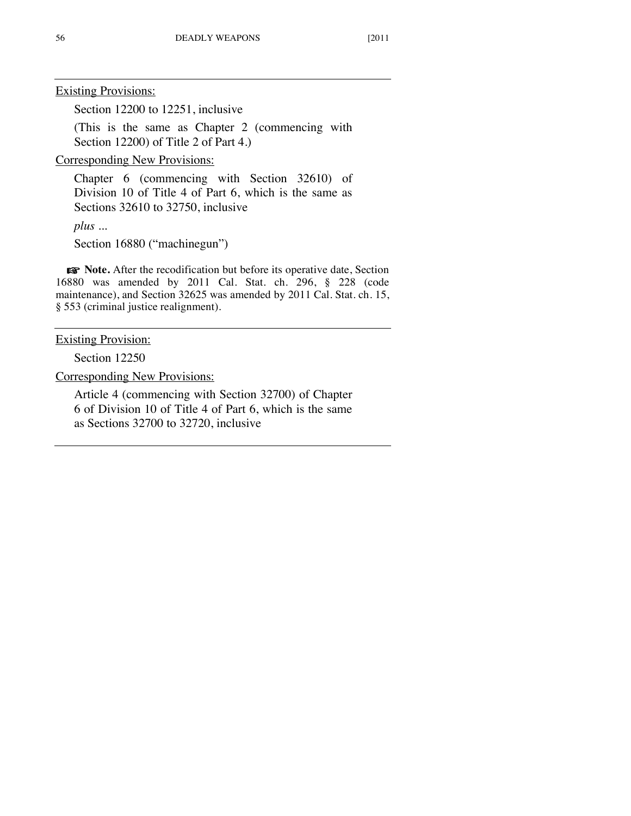Section 12200 to 12251, inclusive

(This is the same as Chapter 2 (commencing with Section 12200) of Title 2 of Part 4.)

Corresponding New Provisions:

Chapter 6 (commencing with Section 32610) of Division 10 of Title 4 of Part 6, which is the same as Sections 32610 to 32750, inclusive

*plus ...*

Section 16880 ("machinegun")

☞ **Note.** After the recodification but before its operative date, Section 16880 was amended by 2011 Cal. Stat. ch. 296, § 228 (code maintenance), and Section 32625 was amended by 2011 Cal. Stat. ch. 15, § 553 (criminal justice realignment).

Existing Provision:

Section 12250

Corresponding New Provisions:

Article 4 (commencing with Section 32700) of Chapter 6 of Division 10 of Title 4 of Part 6, which is the same as Sections 32700 to 32720, inclusive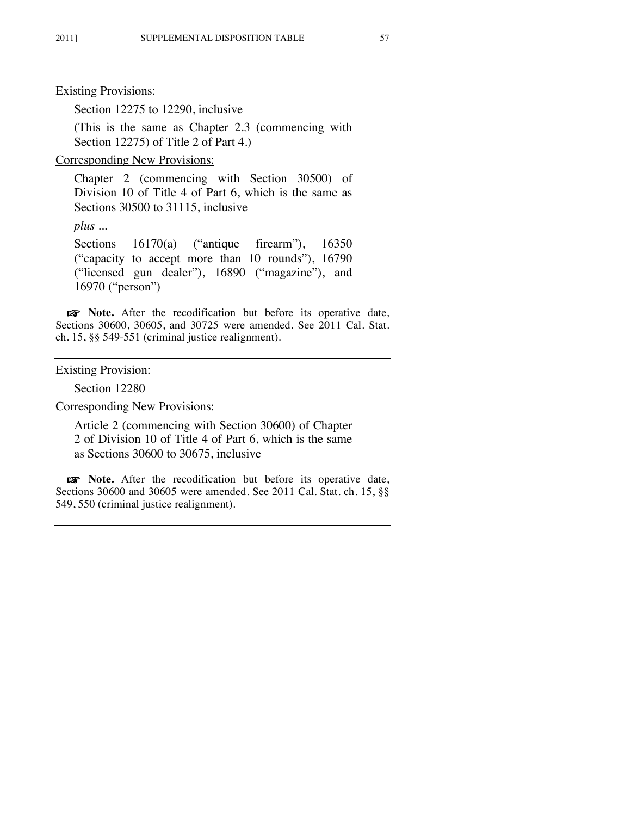Section 12275 to 12290, inclusive

(This is the same as Chapter 2.3 (commencing with Section 12275) of Title 2 of Part 4.)

Corresponding New Provisions:

Chapter 2 (commencing with Section 30500) of Division 10 of Title 4 of Part 6, which is the same as Sections 30500 to 31115, inclusive

*plus ...*

Sections 16170(a) ("antique firearm"), 16350 ("capacity to accept more than 10 rounds"), 16790 ("licensed gun dealer"), 16890 ("magazine"), and 16970 ("person")

☞ **Note.** After the recodification but before its operative date, Sections 30600, 30605, and 30725 were amended. See 2011 Cal. Stat. ch. 15, §§ 549-551 (criminal justice realignment).

## **Existing Provision:**

Section 12280

Corresponding New Provisions:

Article 2 (commencing with Section 30600) of Chapter 2 of Division 10 of Title 4 of Part 6, which is the same as Sections 30600 to 30675, inclusive

☞ **Note.** After the recodification but before its operative date, Sections 30600 and 30605 were amended. See 2011 Cal. Stat. ch. 15, §§ 549, 550 (criminal justice realignment).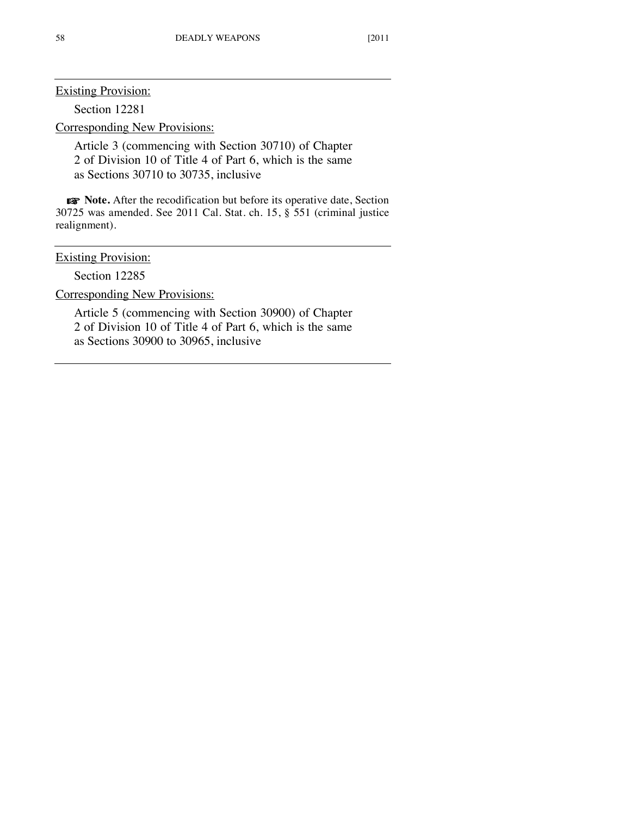Section 12281

Corresponding New Provisions:

Article 3 (commencing with Section 30710) of Chapter 2 of Division 10 of Title 4 of Part 6, which is the same as Sections 30710 to 30735, inclusive

☞ **Note.** After the recodification but before its operative date, Section 30725 was amended. See 2011 Cal. Stat. ch. 15, § 551 (criminal justice realignment).

## **Existing Provision:**

Section 12285

Corresponding New Provisions:

Article 5 (commencing with Section 30900) of Chapter 2 of Division 10 of Title 4 of Part 6, which is the same as Sections 30900 to 30965, inclusive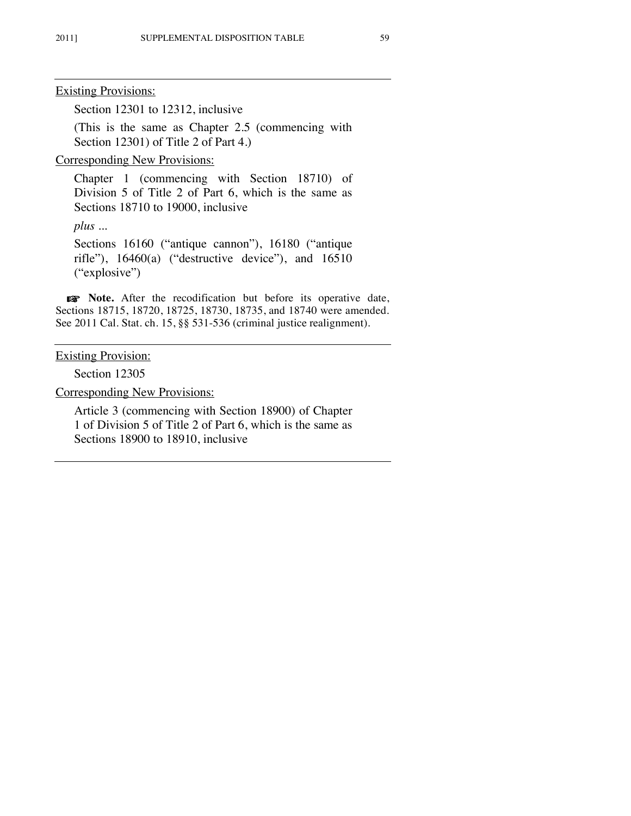Section 12301 to 12312, inclusive

(This is the same as Chapter 2.5 (commencing with Section 12301) of Title 2 of Part 4.)

Corresponding New Provisions:

Chapter 1 (commencing with Section 18710) of Division 5 of Title 2 of Part 6, which is the same as Sections 18710 to 19000, inclusive

*plus ...*

Sections 16160 ("antique cannon"), 16180 ("antique rifle"), 16460(a) ("destructive device"), and 16510 ("explosive")

☞ **Note.** After the recodification but before its operative date, Sections 18715, 18720, 18725, 18730, 18735, and 18740 were amended. See 2011 Cal. Stat. ch. 15, §§ 531-536 (criminal justice realignment).

Existing Provision:

Section 12305

Corresponding New Provisions:

Article 3 (commencing with Section 18900) of Chapter 1 of Division 5 of Title 2 of Part 6, which is the same as Sections 18900 to 18910, inclusive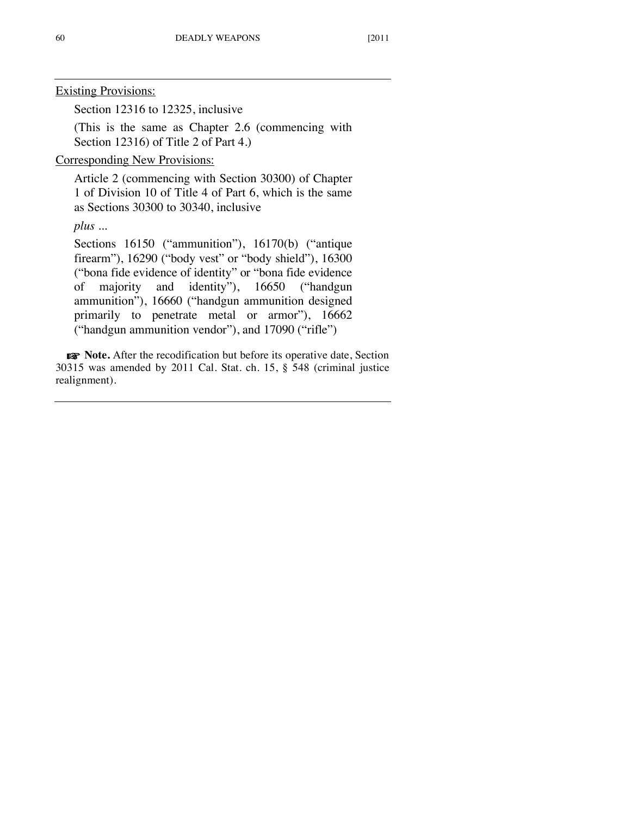Section 12316 to 12325, inclusive

(This is the same as Chapter 2.6 (commencing with Section 12316) of Title 2 of Part 4.)

Corresponding New Provisions:

Article 2 (commencing with Section 30300) of Chapter 1 of Division 10 of Title 4 of Part 6, which is the same as Sections 30300 to 30340, inclusive

*plus ...*

Sections 16150 ("ammunition"), 16170(b) ("antique firearm"), 16290 ("body vest" or "body shield"), 16300 ("bona fide evidence of identity" or "bona fide evidence of majority and identity"), 16650 ("handgun ammunition"), 16660 ("handgun ammunition designed primarily to penetrate metal or armor"), 16662 ("handgun ammunition vendor"), and 17090 ("rifle")

☞ **Note.** After the recodification but before its operative date, Section 30315 was amended by 2011 Cal. Stat. ch. 15, § 548 (criminal justice realignment).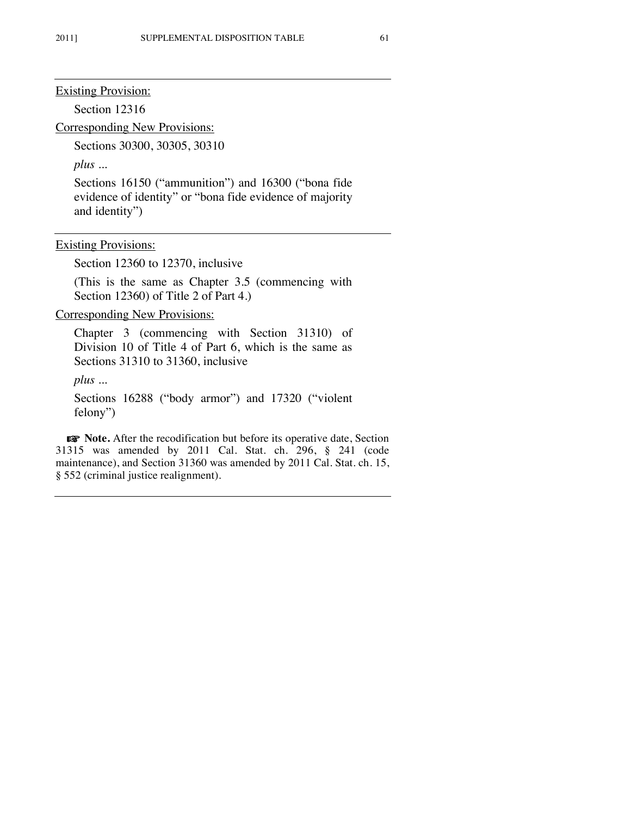Section 12316

Corresponding New Provisions:

Sections 30300, 30305, 30310

*plus ...*

Sections 16150 ("ammunition") and 16300 ("bona fide evidence of identity" or "bona fide evidence of majority and identity")

Existing Provisions:

Section 12360 to 12370, inclusive

(This is the same as Chapter 3.5 (commencing with Section 12360) of Title 2 of Part 4.

Corresponding New Provisions:

Chapter 3 (commencing with Section 31310) of Division 10 of Title 4 of Part 6, which is the same as Sections 31310 to 31360, inclusive

*plus ...*

Sections 16288 ("body armor") and 17320 ("violent felony")

☞ **Note.** After the recodification but before its operative date, Section 31315 was amended by 2011 Cal. Stat. ch. 296, § 241 (code maintenance), and Section 31360 was amended by 2011 Cal. Stat. ch. 15, § 552 (criminal justice realignment).